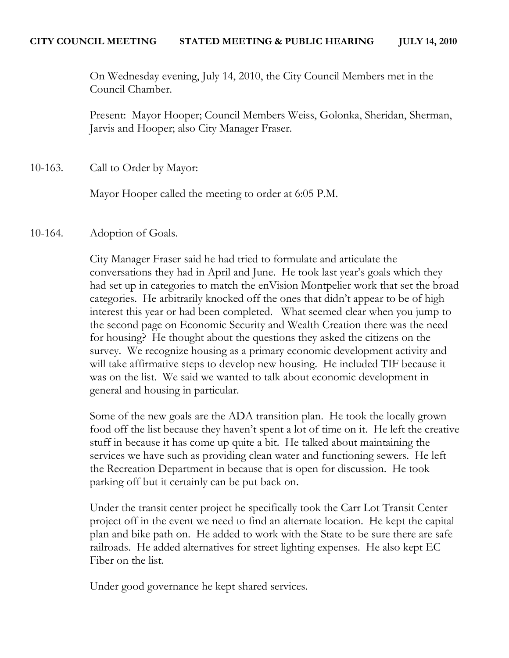On Wednesday evening, July 14, 2010, the City Council Members met in the Council Chamber.

Present: Mayor Hooper; Council Members Weiss, Golonka, Sheridan, Sherman, Jarvis and Hooper; also City Manager Fraser.

10-163. Call to Order by Mayor:

Mayor Hooper called the meeting to order at 6:05 P.M.

# 10-164. Adoption of Goals.

City Manager Fraser said he had tried to formulate and articulate the conversations they had in April and June. He took last year's goals which they had set up in categories to match the enVision Montpelier work that set the broad categories. He arbitrarily knocked off the ones that didn't appear to be of high interest this year or had been completed. What seemed clear when you jump to the second page on Economic Security and Wealth Creation there was the need for housing? He thought about the questions they asked the citizens on the survey. We recognize housing as a primary economic development activity and will take affirmative steps to develop new housing. He included TIF because it was on the list. We said we wanted to talk about economic development in general and housing in particular.

Some of the new goals are the ADA transition plan. He took the locally grown food off the list because they haven't spent a lot of time on it. He left the creative stuff in because it has come up quite a bit. He talked about maintaining the services we have such as providing clean water and functioning sewers. He left the Recreation Department in because that is open for discussion. He took parking off but it certainly can be put back on.

Under the transit center project he specifically took the Carr Lot Transit Center project off in the event we need to find an alternate location. He kept the capital plan and bike path on. He added to work with the State to be sure there are safe railroads. He added alternatives for street lighting expenses. He also kept EC Fiber on the list.

Under good governance he kept shared services.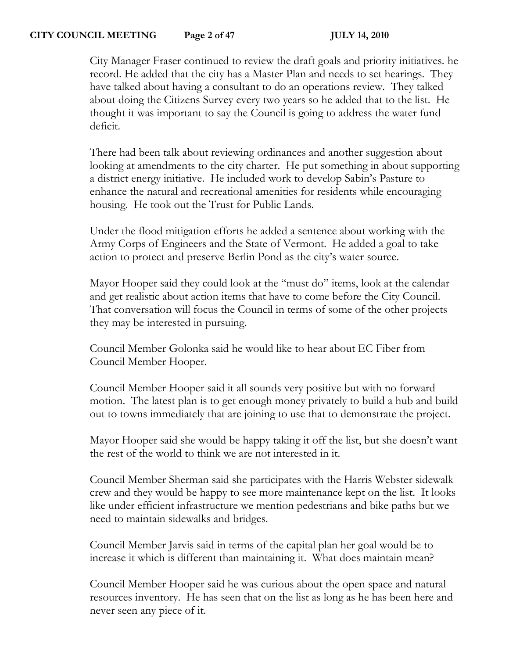City Manager Fraser continued to review the draft goals and priority initiatives. he record. He added that the city has a Master Plan and needs to set hearings. They have talked about having a consultant to do an operations review. They talked about doing the Citizens Survey every two years so he added that to the list. He thought it was important to say the Council is going to address the water fund deficit.

There had been talk about reviewing ordinances and another suggestion about looking at amendments to the city charter. He put something in about supporting a district energy initiative. He included work to develop Sabin's Pasture to enhance the natural and recreational amenities for residents while encouraging housing. He took out the Trust for Public Lands.

Under the flood mitigation efforts he added a sentence about working with the Army Corps of Engineers and the State of Vermont. He added a goal to take action to protect and preserve Berlin Pond as the city's water source.

Mayor Hooper said they could look at the "must do" items, look at the calendar and get realistic about action items that have to come before the City Council. That conversation will focus the Council in terms of some of the other projects they may be interested in pursuing.

Council Member Golonka said he would like to hear about EC Fiber from Council Member Hooper.

Council Member Hooper said it all sounds very positive but with no forward motion. The latest plan is to get enough money privately to build a hub and build out to towns immediately that are joining to use that to demonstrate the project.

Mayor Hooper said she would be happy taking it off the list, but she doesn't want the rest of the world to think we are not interested in it.

Council Member Sherman said she participates with the Harris Webster sidewalk crew and they would be happy to see more maintenance kept on the list. It looks like under efficient infrastructure we mention pedestrians and bike paths but we need to maintain sidewalks and bridges.

Council Member Jarvis said in terms of the capital plan her goal would be to increase it which is different than maintaining it. What does maintain mean?

Council Member Hooper said he was curious about the open space and natural resources inventory. He has seen that on the list as long as he has been here and never seen any piece of it.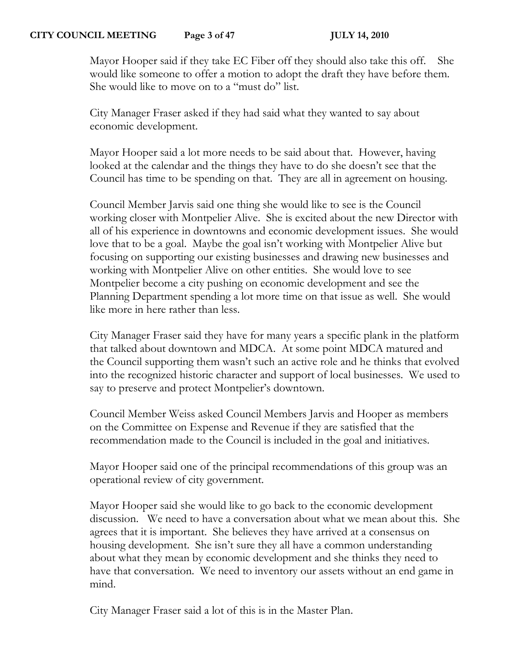## **CITY COUNCIL MEETING Page 3 of 47 JULY 14, 2010**

Mayor Hooper said if they take EC Fiber off they should also take this off. She would like someone to offer a motion to adopt the draft they have before them. She would like to move on to a "must do" list.

City Manager Fraser asked if they had said what they wanted to say about economic development.

Mayor Hooper said a lot more needs to be said about that. However, having looked at the calendar and the things they have to do she doesn't see that the Council has time to be spending on that. They are all in agreement on housing.

Council Member Jarvis said one thing she would like to see is the Council working closer with Montpelier Alive. She is excited about the new Director with all of his experience in downtowns and economic development issues. She would love that to be a goal. Maybe the goal isn't working with Montpelier Alive but focusing on supporting our existing businesses and drawing new businesses and working with Montpelier Alive on other entities. She would love to see Montpelier become a city pushing on economic development and see the Planning Department spending a lot more time on that issue as well. She would like more in here rather than less.

City Manager Fraser said they have for many years a specific plank in the platform that talked about downtown and MDCA. At some point MDCA matured and the Council supporting them wasn't such an active role and he thinks that evolved into the recognized historic character and support of local businesses. We used to say to preserve and protect Montpelier's downtown.

Council Member Weiss asked Council Members Jarvis and Hooper as members on the Committee on Expense and Revenue if they are satisfied that the recommendation made to the Council is included in the goal and initiatives.

Mayor Hooper said one of the principal recommendations of this group was an operational review of city government.

Mayor Hooper said she would like to go back to the economic development discussion. We need to have a conversation about what we mean about this. She agrees that it is important. She believes they have arrived at a consensus on housing development. She isn't sure they all have a common understanding about what they mean by economic development and she thinks they need to have that conversation. We need to inventory our assets without an end game in mind.

City Manager Fraser said a lot of this is in the Master Plan.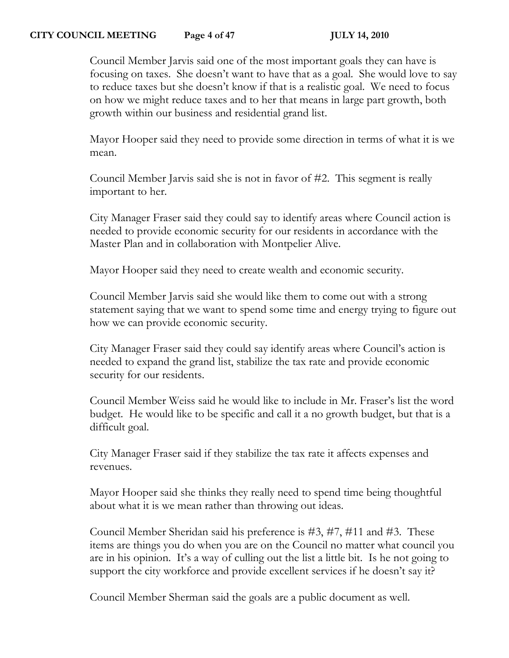#### **CITY COUNCIL MEETING Page 4 of 47 JULY 14, 2010**

Council Member Jarvis said one of the most important goals they can have is focusing on taxes. She doesn't want to have that as a goal. She would love to say to reduce taxes but she doesn't know if that is a realistic goal. We need to focus on how we might reduce taxes and to her that means in large part growth, both growth within our business and residential grand list.

Mayor Hooper said they need to provide some direction in terms of what it is we mean.

Council Member Jarvis said she is not in favor of #2. This segment is really important to her.

City Manager Fraser said they could say to identify areas where Council action is needed to provide economic security for our residents in accordance with the Master Plan and in collaboration with Montpelier Alive.

Mayor Hooper said they need to create wealth and economic security.

Council Member Jarvis said she would like them to come out with a strong statement saying that we want to spend some time and energy trying to figure out how we can provide economic security.

City Manager Fraser said they could say identify areas where Council's action is needed to expand the grand list, stabilize the tax rate and provide economic security for our residents.

Council Member Weiss said he would like to include in Mr. Fraser's list the word budget. He would like to be specific and call it a no growth budget, but that is a difficult goal.

City Manager Fraser said if they stabilize the tax rate it affects expenses and revenues.

Mayor Hooper said she thinks they really need to spend time being thoughtful about what it is we mean rather than throwing out ideas.

Council Member Sheridan said his preference is #3, #7, #11 and #3. These items are things you do when you are on the Council no matter what council you are in his opinion. It's a way of culling out the list a little bit. Is he not going to support the city workforce and provide excellent services if he doesn't say it?

Council Member Sherman said the goals are a public document as well.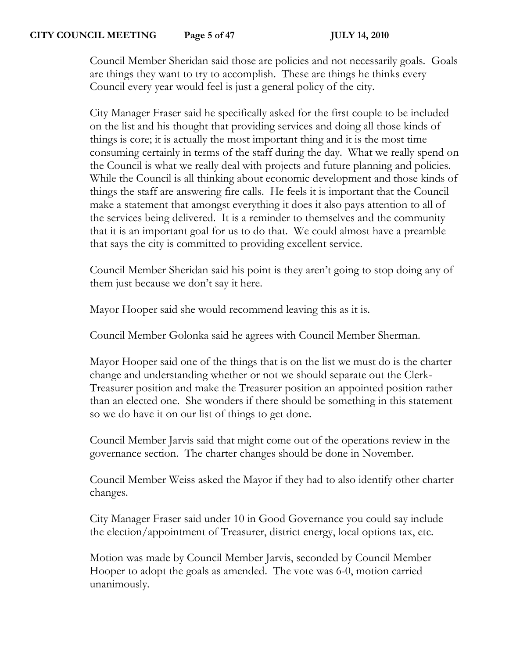# **CITY COUNCIL MEETING Page 5 of 47 JULY 14, 2010**

Council Member Sheridan said those are policies and not necessarily goals. Goals are things they want to try to accomplish. These are things he thinks every Council every year would feel is just a general policy of the city.

City Manager Fraser said he specifically asked for the first couple to be included on the list and his thought that providing services and doing all those kinds of things is core; it is actually the most important thing and it is the most time consuming certainly in terms of the staff during the day. What we really spend on the Council is what we really deal with projects and future planning and policies. While the Council is all thinking about economic development and those kinds of things the staff are answering fire calls. He feels it is important that the Council make a statement that amongst everything it does it also pays attention to all of the services being delivered. It is a reminder to themselves and the community that it is an important goal for us to do that. We could almost have a preamble that says the city is committed to providing excellent service.

Council Member Sheridan said his point is they aren't going to stop doing any of them just because we don't say it here.

Mayor Hooper said she would recommend leaving this as it is.

Council Member Golonka said he agrees with Council Member Sherman.

Mayor Hooper said one of the things that is on the list we must do is the charter change and understanding whether or not we should separate out the Clerk-Treasurer position and make the Treasurer position an appointed position rather than an elected one. She wonders if there should be something in this statement so we do have it on our list of things to get done.

Council Member Jarvis said that might come out of the operations review in the governance section. The charter changes should be done in November.

Council Member Weiss asked the Mayor if they had to also identify other charter changes.

City Manager Fraser said under 10 in Good Governance you could say include the election/appointment of Treasurer, district energy, local options tax, etc.

Motion was made by Council Member Jarvis, seconded by Council Member Hooper to adopt the goals as amended. The vote was 6-0, motion carried unanimously.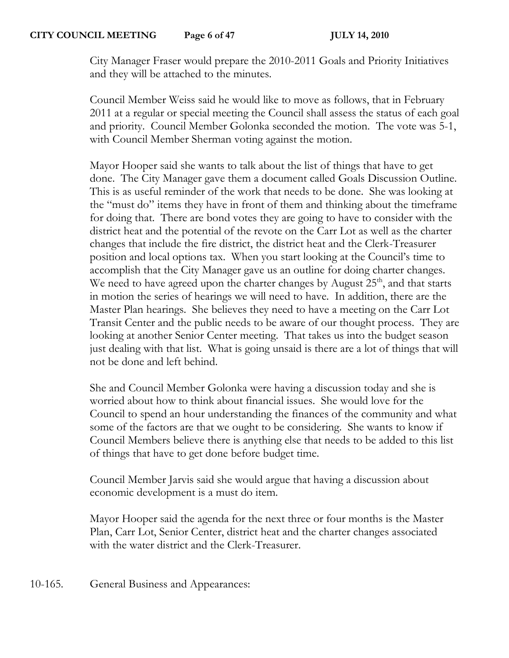City Manager Fraser would prepare the 2010-2011 Goals and Priority Initiatives and they will be attached to the minutes.

Council Member Weiss said he would like to move as follows, that in February 2011 at a regular or special meeting the Council shall assess the status of each goal and priority. Council Member Golonka seconded the motion. The vote was 5-1, with Council Member Sherman voting against the motion.

Mayor Hooper said she wants to talk about the list of things that have to get done. The City Manager gave them a document called Goals Discussion Outline. This is as useful reminder of the work that needs to be done. She was looking at the "must do" items they have in front of them and thinking about the timeframe for doing that. There are bond votes they are going to have to consider with the district heat and the potential of the revote on the Carr Lot as well as the charter changes that include the fire district, the district heat and the Clerk-Treasurer position and local options tax. When you start looking at the Council's time to accomplish that the City Manager gave us an outline for doing charter changes. We need to have agreed upon the charter changes by August  $25<sup>th</sup>$ , and that starts in motion the series of hearings we will need to have. In addition, there are the Master Plan hearings. She believes they need to have a meeting on the Carr Lot Transit Center and the public needs to be aware of our thought process. They are looking at another Senior Center meeting. That takes us into the budget season just dealing with that list. What is going unsaid is there are a lot of things that will not be done and left behind.

She and Council Member Golonka were having a discussion today and she is worried about how to think about financial issues. She would love for the Council to spend an hour understanding the finances of the community and what some of the factors are that we ought to be considering. She wants to know if Council Members believe there is anything else that needs to be added to this list of things that have to get done before budget time.

Council Member Jarvis said she would argue that having a discussion about economic development is a must do item.

Mayor Hooper said the agenda for the next three or four months is the Master Plan, Carr Lot, Senior Center, district heat and the charter changes associated with the water district and the Clerk-Treasurer.

10-165. General Business and Appearances: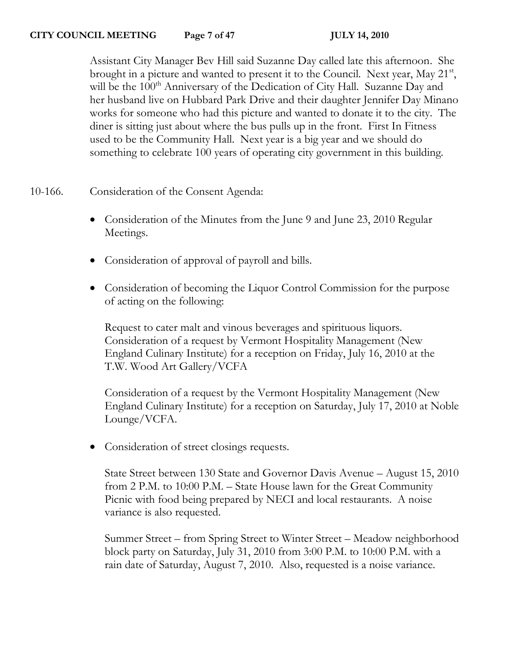Assistant City Manager Bev Hill said Suzanne Day called late this afternoon. She brought in a picture and wanted to present it to the Council. Next year, May 21<sup>st</sup>, will be the  $100<sup>th</sup>$  Anniversary of the Dedication of City Hall. Suzanne Day and her husband live on Hubbard Park Drive and their daughter Jennifer Day Minano works for someone who had this picture and wanted to donate it to the city. The diner is sitting just about where the bus pulls up in the front. First In Fitness used to be the Community Hall. Next year is a big year and we should do something to celebrate 100 years of operating city government in this building.

10-166. Consideration of the Consent Agenda:

- Consideration of the Minutes from the June 9 and June 23, 2010 Regular Meetings.
- Consideration of approval of payroll and bills.
- Consideration of becoming the Liquor Control Commission for the purpose of acting on the following:

Request to cater malt and vinous beverages and spirituous liquors. Consideration of a request by Vermont Hospitality Management (New England Culinary Institute) for a reception on Friday, July 16, 2010 at the T.W. Wood Art Gallery/VCFA

Consideration of a request by the Vermont Hospitality Management (New England Culinary Institute) for a reception on Saturday, July 17, 2010 at Noble Lounge/VCFA.

• Consideration of street closings requests.

State Street between 130 State and Governor Davis Avenue – August 15, 2010 from 2 P.M. to 10:00 P.M. – State House lawn for the Great Community Picnic with food being prepared by NECI and local restaurants. A noise variance is also requested.

Summer Street – from Spring Street to Winter Street – Meadow neighborhood block party on Saturday, July 31, 2010 from 3:00 P.M. to 10:00 P.M. with a rain date of Saturday, August 7, 2010. Also, requested is a noise variance.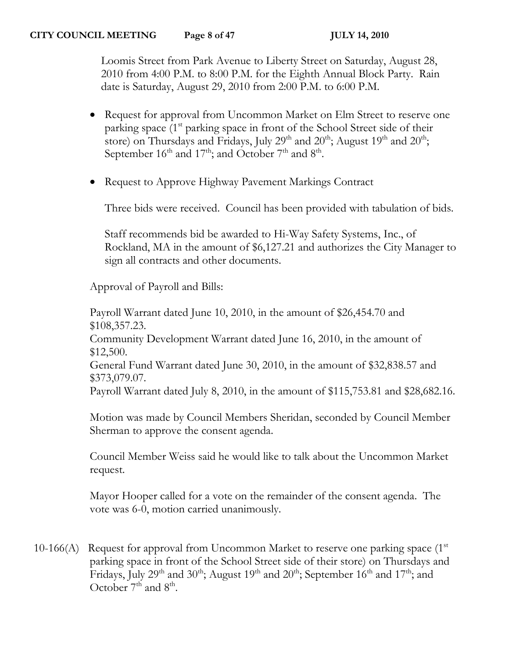Loomis Street from Park Avenue to Liberty Street on Saturday, August 28, 2010 from 4:00 P.M. to 8:00 P.M. for the Eighth Annual Block Party. Rain date is Saturday, August 29, 2010 from 2:00 P.M. to 6:00 P.M.

- Request for approval from Uncommon Market on Elm Street to reserve one parking space  $(1<sup>st</sup>$  parking space in front of the School Street side of their store) on Thursdays and Fridays, July 29<sup>th</sup> and 20<sup>th</sup>; August 19<sup>th</sup> and 20<sup>th</sup>; September  $16^{\text{th}}$  and  $17^{\text{th}}$ ; and October  $7^{\text{th}}$  and  $8^{\text{th}}$ .
- Request to Approve Highway Pavement Markings Contract

Three bids were received. Council has been provided with tabulation of bids.

Staff recommends bid be awarded to Hi-Way Safety Systems, Inc., of Rockland, MA in the amount of \$6,127.21 and authorizes the City Manager to sign all contracts and other documents.

Approval of Payroll and Bills:

Payroll Warrant dated June 10, 2010, in the amount of \$26,454.70 and \$108,357.23. Community Development Warrant dated June 16, 2010, in the amount of \$12,500. General Fund Warrant dated June 30, 2010, in the amount of \$32,838.57 and \$373,079.07. Payroll Warrant dated July 8, 2010, in the amount of \$115,753.81 and \$28,682.16.

Motion was made by Council Members Sheridan, seconded by Council Member Sherman to approve the consent agenda.

Council Member Weiss said he would like to talk about the Uncommon Market request.

Mayor Hooper called for a vote on the remainder of the consent agenda. The vote was 6-0, motion carried unanimously.

10-166(A) Request for approval from Uncommon Market to reserve one parking space  $(1<sup>st</sup>$ parking space in front of the School Street side of their store) on Thursdays and Fridays, July 29<sup>th</sup> and 30<sup>th</sup>; August 19<sup>th</sup> and 20<sup>th</sup>; September 16<sup>th</sup> and 17<sup>th</sup>; and October  $7<sup>th</sup>$  and  $8<sup>th</sup>$ .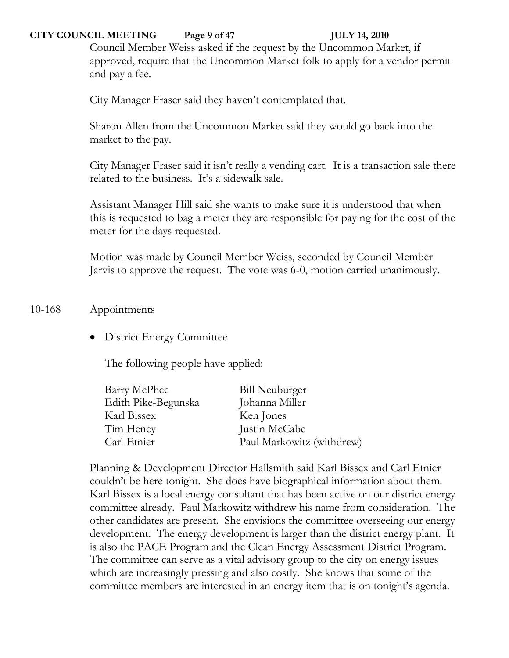#### **CITY COUNCIL MEETING Page 9 of 47 JULY 14, 2010**

Council Member Weiss asked if the request by the Uncommon Market, if approved, require that the Uncommon Market folk to apply for a vendor permit and pay a fee.

City Manager Fraser said they haven't contemplated that.

Sharon Allen from the Uncommon Market said they would go back into the market to the pay.

City Manager Fraser said it isn't really a vending cart. It is a transaction sale there related to the business. It's a sidewalk sale.

Assistant Manager Hill said she wants to make sure it is understood that when this is requested to bag a meter they are responsible for paying for the cost of the meter for the days requested.

Motion was made by Council Member Weiss, seconded by Council Member Jarvis to approve the request. The vote was 6-0, motion carried unanimously.

# 10-168 Appointments

• District Energy Committee

The following people have applied:

| <b>Bill Neuburger</b>     |
|---------------------------|
| Johanna Miller            |
| Ken Jones                 |
| Justin McCabe             |
| Paul Markowitz (withdrew) |
|                           |

Planning & Development Director Hallsmith said Karl Bissex and Carl Etnier couldn't be here tonight. She does have biographical information about them. Karl Bissex is a local energy consultant that has been active on our district energy committee already. Paul Markowitz withdrew his name from consideration. The other candidates are present. She envisions the committee overseeing our energy development. The energy development is larger than the district energy plant. It is also the PACE Program and the Clean Energy Assessment District Program. The committee can serve as a vital advisory group to the city on energy issues which are increasingly pressing and also costly. She knows that some of the committee members are interested in an energy item that is on tonight's agenda.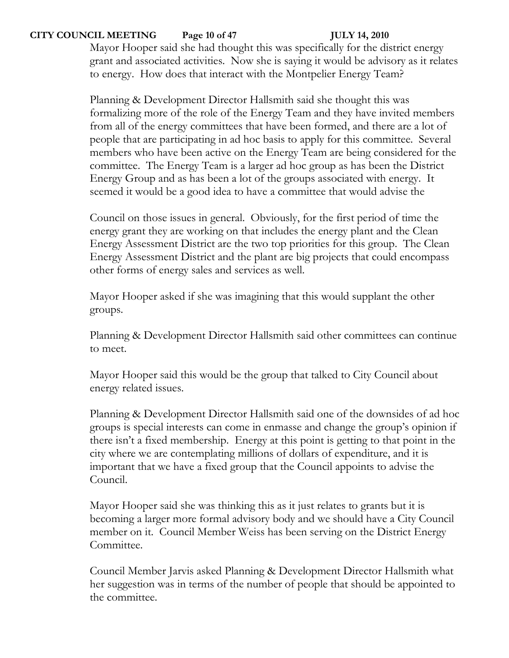# **CITY COUNCIL MEETING Page 10 of 47 JULY 14, 2010**

Mayor Hooper said she had thought this was specifically for the district energy grant and associated activities. Now she is saying it would be advisory as it relates to energy. How does that interact with the Montpelier Energy Team?

Planning & Development Director Hallsmith said she thought this was formalizing more of the role of the Energy Team and they have invited members from all of the energy committees that have been formed, and there are a lot of people that are participating in ad hoc basis to apply for this committee. Several members who have been active on the Energy Team are being considered for the committee. The Energy Team is a larger ad hoc group as has been the District Energy Group and as has been a lot of the groups associated with energy. It seemed it would be a good idea to have a committee that would advise the

Council on those issues in general. Obviously, for the first period of time the energy grant they are working on that includes the energy plant and the Clean Energy Assessment District are the two top priorities for this group. The Clean Energy Assessment District and the plant are big projects that could encompass other forms of energy sales and services as well.

Mayor Hooper asked if she was imagining that this would supplant the other groups.

Planning & Development Director Hallsmith said other committees can continue to meet.

Mayor Hooper said this would be the group that talked to City Council about energy related issues.

Planning & Development Director Hallsmith said one of the downsides of ad hoc groups is special interests can come in enmasse and change the group's opinion if there isn't a fixed membership. Energy at this point is getting to that point in the city where we are contemplating millions of dollars of expenditure, and it is important that we have a fixed group that the Council appoints to advise the Council.

Mayor Hooper said she was thinking this as it just relates to grants but it is becoming a larger more formal advisory body and we should have a City Council member on it. Council Member Weiss has been serving on the District Energy Committee.

Council Member Jarvis asked Planning & Development Director Hallsmith what her suggestion was in terms of the number of people that should be appointed to the committee.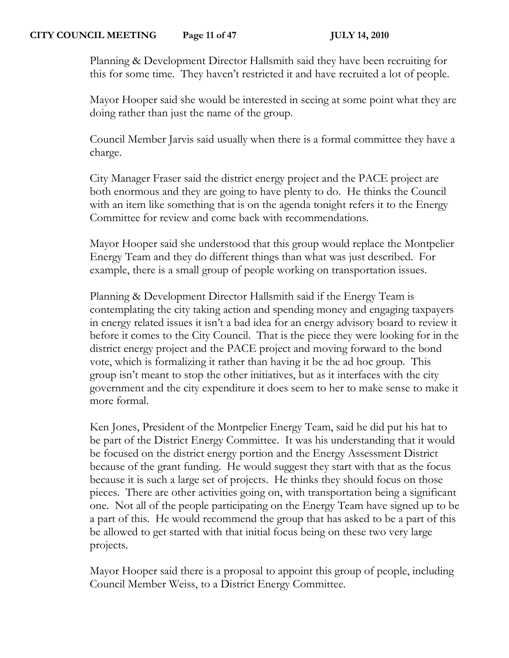Planning & Development Director Hallsmith said they have been recruiting for this for some time. They haven't restricted it and have recruited a lot of people.

Mayor Hooper said she would be interested in seeing at some point what they are doing rather than just the name of the group.

Council Member Jarvis said usually when there is a formal committee they have a charge.

City Manager Fraser said the district energy project and the PACE project are both enormous and they are going to have plenty to do. He thinks the Council with an item like something that is on the agenda tonight refers it to the Energy Committee for review and come back with recommendations.

Mayor Hooper said she understood that this group would replace the Montpelier Energy Team and they do different things than what was just described. For example, there is a small group of people working on transportation issues.

Planning & Development Director Hallsmith said if the Energy Team is contemplating the city taking action and spending money and engaging taxpayers in energy related issues it isn't a bad idea for an energy advisory board to review it before it comes to the City Council. That is the piece they were looking for in the district energy project and the PACE project and moving forward to the bond vote, which is formalizing it rather than having it be the ad hoc group. This group isn't meant to stop the other initiatives, but as it interfaces with the city government and the city expenditure it does seem to her to make sense to make it more formal.

Ken Jones, President of the Montpelier Energy Team, said he did put his hat to be part of the District Energy Committee. It was his understanding that it would be focused on the district energy portion and the Energy Assessment District because of the grant funding. He would suggest they start with that as the focus because it is such a large set of projects. He thinks they should focus on those pieces. There are other activities going on, with transportation being a significant one. Not all of the people participating on the Energy Team have signed up to be a part of this. He would recommend the group that has asked to be a part of this be allowed to get started with that initial focus being on these two very large projects.

Mayor Hooper said there is a proposal to appoint this group of people, including Council Member Weiss, to a District Energy Committee.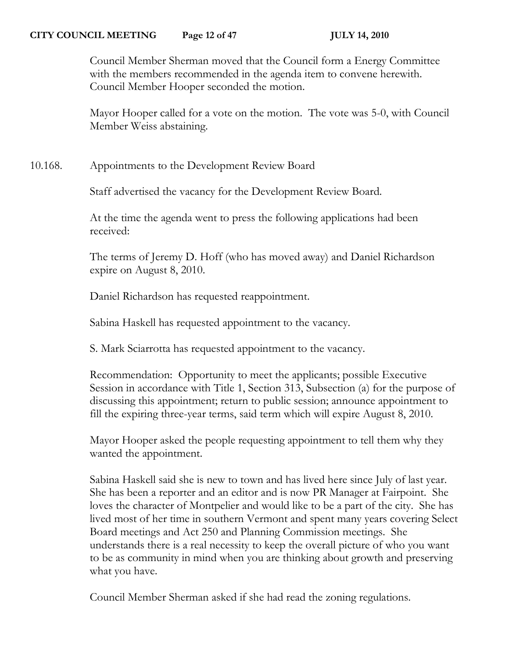#### **CITY COUNCIL MEETING Page 12 of 47 JULY 14, 2010**

Council Member Sherman moved that the Council form a Energy Committee with the members recommended in the agenda item to convene herewith. Council Member Hooper seconded the motion.

Mayor Hooper called for a vote on the motion. The vote was 5-0, with Council Member Weiss abstaining.

10.168. Appointments to the Development Review Board

Staff advertised the vacancy for the Development Review Board.

At the time the agenda went to press the following applications had been received:

The terms of Jeremy D. Hoff (who has moved away) and Daniel Richardson expire on August 8, 2010.

Daniel Richardson has requested reappointment.

Sabina Haskell has requested appointment to the vacancy.

S. Mark Sciarrotta has requested appointment to the vacancy.

Recommendation: Opportunity to meet the applicants; possible Executive Session in accordance with Title 1, Section 313, Subsection (a) for the purpose of discussing this appointment; return to public session; announce appointment to fill the expiring three-year terms, said term which will expire August 8, 2010.

Mayor Hooper asked the people requesting appointment to tell them why they wanted the appointment.

Sabina Haskell said she is new to town and has lived here since July of last year. She has been a reporter and an editor and is now PR Manager at Fairpoint. She loves the character of Montpelier and would like to be a part of the city. She has lived most of her time in southern Vermont and spent many years covering Select Board meetings and Act 250 and Planning Commission meetings. She understands there is a real necessity to keep the overall picture of who you want to be as community in mind when you are thinking about growth and preserving what you have.

Council Member Sherman asked if she had read the zoning regulations.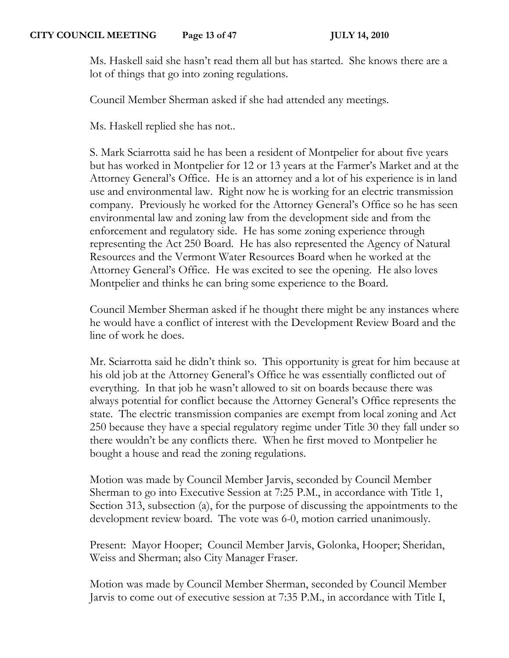Ms. Haskell said she hasn't read them all but has started. She knows there are a lot of things that go into zoning regulations.

Council Member Sherman asked if she had attended any meetings.

Ms. Haskell replied she has not..

S. Mark Sciarrotta said he has been a resident of Montpelier for about five years but has worked in Montpelier for 12 or 13 years at the Farmer's Market and at the Attorney General's Office. He is an attorney and a lot of his experience is in land use and environmental law. Right now he is working for an electric transmission company. Previously he worked for the Attorney General's Office so he has seen environmental law and zoning law from the development side and from the enforcement and regulatory side. He has some zoning experience through representing the Act 250 Board. He has also represented the Agency of Natural Resources and the Vermont Water Resources Board when he worked at the Attorney General's Office. He was excited to see the opening. He also loves Montpelier and thinks he can bring some experience to the Board.

Council Member Sherman asked if he thought there might be any instances where he would have a conflict of interest with the Development Review Board and the line of work he does.

Mr. Sciarrotta said he didn't think so. This opportunity is great for him because at his old job at the Attorney General's Office he was essentially conflicted out of everything. In that job he wasn't allowed to sit on boards because there was always potential for conflict because the Attorney General's Office represents the state. The electric transmission companies are exempt from local zoning and Act 250 because they have a special regulatory regime under Title 30 they fall under so there wouldn't be any conflicts there. When he first moved to Montpelier he bought a house and read the zoning regulations.

Motion was made by Council Member Jarvis, seconded by Council Member Sherman to go into Executive Session at 7:25 P.M., in accordance with Title 1, Section 313, subsection (a), for the purpose of discussing the appointments to the development review board. The vote was 6-0, motion carried unanimously.

Present: Mayor Hooper; Council Member Jarvis, Golonka, Hooper; Sheridan, Weiss and Sherman; also City Manager Fraser.

Motion was made by Council Member Sherman, seconded by Council Member Jarvis to come out of executive session at 7:35 P.M., in accordance with Title I,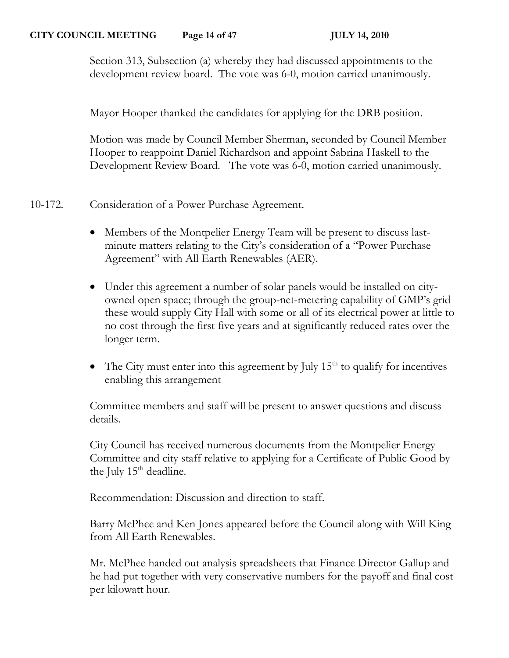Section 313, Subsection (a) whereby they had discussed appointments to the development review board. The vote was 6-0, motion carried unanimously.

Mayor Hooper thanked the candidates for applying for the DRB position.

Motion was made by Council Member Sherman, seconded by Council Member Hooper to reappoint Daniel Richardson and appoint Sabrina Haskell to the Development Review Board. The vote was 6-0, motion carried unanimously.

10-172. Consideration of a Power Purchase Agreement.

- Members of the Montpelier Energy Team will be present to discuss lastminute matters relating to the City's consideration of a "Power Purchase Agreement" with All Earth Renewables (AER).
- Under this agreement a number of solar panels would be installed on cityowned open space; through the group-net-metering capability of GMP's grid these would supply City Hall with some or all of its electrical power at little to no cost through the first five years and at significantly reduced rates over the longer term.
- The City must enter into this agreement by July  $15<sup>th</sup>$  to qualify for incentives enabling this arrangement

Committee members and staff will be present to answer questions and discuss details.

City Council has received numerous documents from the Montpelier Energy Committee and city staff relative to applying for a Certificate of Public Good by the July  $15<sup>th</sup>$  deadline.

Recommendation: Discussion and direction to staff.

Barry McPhee and Ken Jones appeared before the Council along with Will King from All Earth Renewables.

Mr. McPhee handed out analysis spreadsheets that Finance Director Gallup and he had put together with very conservative numbers for the payoff and final cost per kilowatt hour.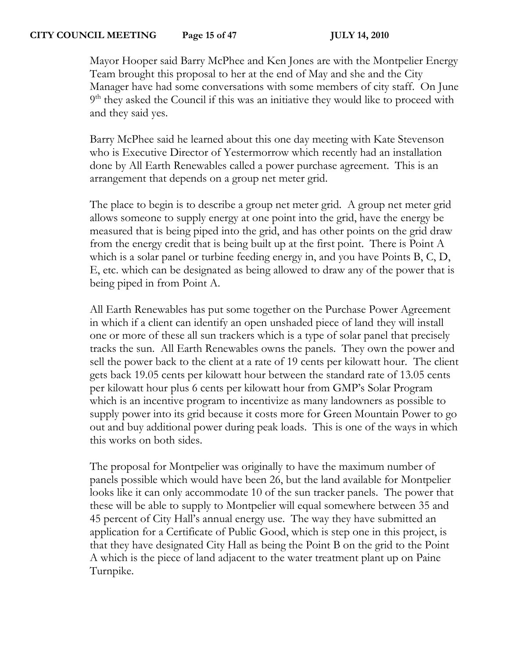## **CITY COUNCIL MEETING Page 15 of 47 JULY 14, 2010**

Mayor Hooper said Barry McPhee and Ken Jones are with the Montpelier Energy Team brought this proposal to her at the end of May and she and the City Manager have had some conversations with some members of city staff. On June 9<sup>th</sup> they asked the Council if this was an initiative they would like to proceed with and they said yes.

Barry McPhee said he learned about this one day meeting with Kate Stevenson who is Executive Director of Yestermorrow which recently had an installation done by All Earth Renewables called a power purchase agreement. This is an arrangement that depends on a group net meter grid.

The place to begin is to describe a group net meter grid. A group net meter grid allows someone to supply energy at one point into the grid, have the energy be measured that is being piped into the grid, and has other points on the grid draw from the energy credit that is being built up at the first point. There is Point A which is a solar panel or turbine feeding energy in, and you have Points B, C, D, E, etc. which can be designated as being allowed to draw any of the power that is being piped in from Point A.

All Earth Renewables has put some together on the Purchase Power Agreement in which if a client can identify an open unshaded piece of land they will install one or more of these all sun trackers which is a type of solar panel that precisely tracks the sun. All Earth Renewables owns the panels. They own the power and sell the power back to the client at a rate of 19 cents per kilowatt hour. The client gets back 19.05 cents per kilowatt hour between the standard rate of 13.05 cents per kilowatt hour plus 6 cents per kilowatt hour from GMP's Solar Program which is an incentive program to incentivize as many landowners as possible to supply power into its grid because it costs more for Green Mountain Power to go out and buy additional power during peak loads. This is one of the ways in which this works on both sides.

The proposal for Montpelier was originally to have the maximum number of panels possible which would have been 26, but the land available for Montpelier looks like it can only accommodate 10 of the sun tracker panels. The power that these will be able to supply to Montpelier will equal somewhere between 35 and 45 percent of City Hall's annual energy use. The way they have submitted an application for a Certificate of Public Good, which is step one in this project, is that they have designated City Hall as being the Point B on the grid to the Point A which is the piece of land adjacent to the water treatment plant up on Paine Turnpike.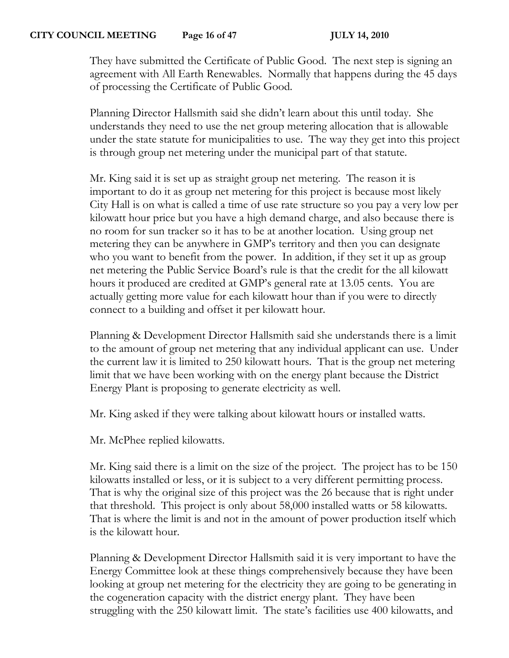They have submitted the Certificate of Public Good. The next step is signing an agreement with All Earth Renewables. Normally that happens during the 45 days of processing the Certificate of Public Good.

Planning Director Hallsmith said she didn't learn about this until today. She understands they need to use the net group metering allocation that is allowable under the state statute for municipalities to use. The way they get into this project is through group net metering under the municipal part of that statute.

Mr. King said it is set up as straight group net metering. The reason it is important to do it as group net metering for this project is because most likely City Hall is on what is called a time of use rate structure so you pay a very low per kilowatt hour price but you have a high demand charge, and also because there is no room for sun tracker so it has to be at another location. Using group net metering they can be anywhere in GMP's territory and then you can designate who you want to benefit from the power. In addition, if they set it up as group net metering the Public Service Board's rule is that the credit for the all kilowatt hours it produced are credited at GMP's general rate at 13.05 cents. You are actually getting more value for each kilowatt hour than if you were to directly connect to a building and offset it per kilowatt hour.

Planning & Development Director Hallsmith said she understands there is a limit to the amount of group net metering that any individual applicant can use. Under the current law it is limited to 250 kilowatt hours. That is the group net metering limit that we have been working with on the energy plant because the District Energy Plant is proposing to generate electricity as well.

Mr. King asked if they were talking about kilowatt hours or installed watts.

Mr. McPhee replied kilowatts.

Mr. King said there is a limit on the size of the project. The project has to be 150 kilowatts installed or less, or it is subject to a very different permitting process. That is why the original size of this project was the 26 because that is right under that threshold. This project is only about 58,000 installed watts or 58 kilowatts. That is where the limit is and not in the amount of power production itself which is the kilowatt hour.

Planning & Development Director Hallsmith said it is very important to have the Energy Committee look at these things comprehensively because they have been looking at group net metering for the electricity they are going to be generating in the cogeneration capacity with the district energy plant. They have been struggling with the 250 kilowatt limit. The state's facilities use 400 kilowatts, and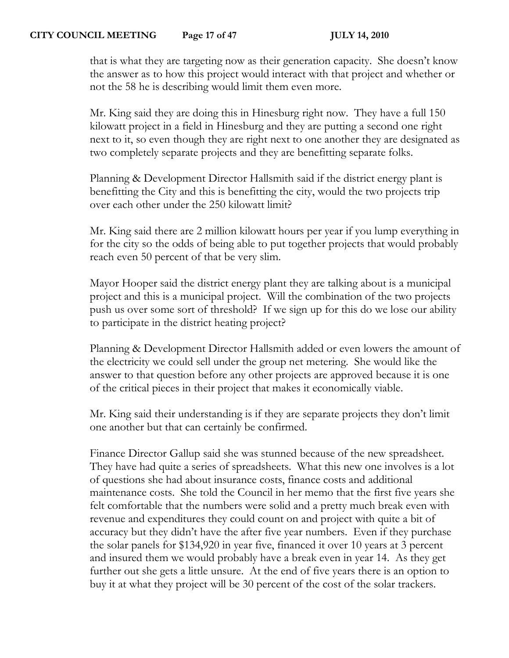that is what they are targeting now as their generation capacity. She doesn't know the answer as to how this project would interact with that project and whether or not the 58 he is describing would limit them even more.

Mr. King said they are doing this in Hinesburg right now. They have a full 150 kilowatt project in a field in Hinesburg and they are putting a second one right next to it, so even though they are right next to one another they are designated as two completely separate projects and they are benefitting separate folks.

Planning & Development Director Hallsmith said if the district energy plant is benefitting the City and this is benefitting the city, would the two projects trip over each other under the 250 kilowatt limit?

Mr. King said there are 2 million kilowatt hours per year if you lump everything in for the city so the odds of being able to put together projects that would probably reach even 50 percent of that be very slim.

Mayor Hooper said the district energy plant they are talking about is a municipal project and this is a municipal project. Will the combination of the two projects push us over some sort of threshold? If we sign up for this do we lose our ability to participate in the district heating project?

Planning & Development Director Hallsmith added or even lowers the amount of the electricity we could sell under the group net metering. She would like the answer to that question before any other projects are approved because it is one of the critical pieces in their project that makes it economically viable.

Mr. King said their understanding is if they are separate projects they don't limit one another but that can certainly be confirmed.

Finance Director Gallup said she was stunned because of the new spreadsheet. They have had quite a series of spreadsheets. What this new one involves is a lot of questions she had about insurance costs, finance costs and additional maintenance costs. She told the Council in her memo that the first five years she felt comfortable that the numbers were solid and a pretty much break even with revenue and expenditures they could count on and project with quite a bit of accuracy but they didn't have the after five year numbers. Even if they purchase the solar panels for \$134,920 in year five, financed it over 10 years at 3 percent and insured them we would probably have a break even in year 14. As they get further out she gets a little unsure. At the end of five years there is an option to buy it at what they project will be 30 percent of the cost of the solar trackers.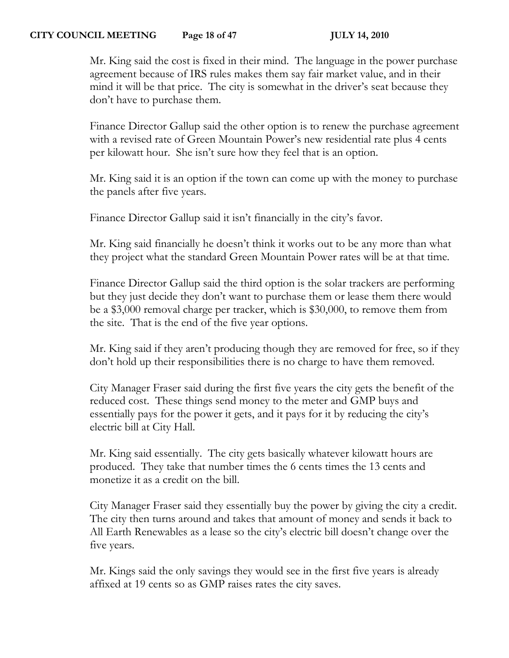Mr. King said the cost is fixed in their mind. The language in the power purchase agreement because of IRS rules makes them say fair market value, and in their mind it will be that price. The city is somewhat in the driver's seat because they don't have to purchase them.

Finance Director Gallup said the other option is to renew the purchase agreement with a revised rate of Green Mountain Power's new residential rate plus 4 cents per kilowatt hour. She isn't sure how they feel that is an option.

Mr. King said it is an option if the town can come up with the money to purchase the panels after five years.

Finance Director Gallup said it isn't financially in the city's favor.

Mr. King said financially he doesn't think it works out to be any more than what they project what the standard Green Mountain Power rates will be at that time.

Finance Director Gallup said the third option is the solar trackers are performing but they just decide they don't want to purchase them or lease them there would be a \$3,000 removal charge per tracker, which is \$30,000, to remove them from the site. That is the end of the five year options.

Mr. King said if they aren't producing though they are removed for free, so if they don't hold up their responsibilities there is no charge to have them removed.

City Manager Fraser said during the first five years the city gets the benefit of the reduced cost. These things send money to the meter and GMP buys and essentially pays for the power it gets, and it pays for it by reducing the city's electric bill at City Hall.

Mr. King said essentially. The city gets basically whatever kilowatt hours are produced. They take that number times the 6 cents times the 13 cents and monetize it as a credit on the bill.

City Manager Fraser said they essentially buy the power by giving the city a credit. The city then turns around and takes that amount of money and sends it back to All Earth Renewables as a lease so the city's electric bill doesn't change over the five years.

Mr. Kings said the only savings they would see in the first five years is already affixed at 19 cents so as GMP raises rates the city saves.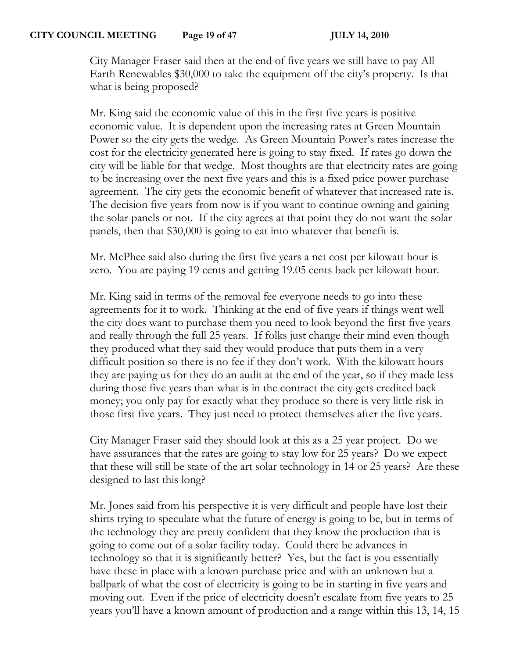City Manager Fraser said then at the end of five years we still have to pay All Earth Renewables \$30,000 to take the equipment off the city's property. Is that what is being proposed?

Mr. King said the economic value of this in the first five years is positive economic value. It is dependent upon the increasing rates at Green Mountain Power so the city gets the wedge. As Green Mountain Power's rates increase the cost for the electricity generated here is going to stay fixed. If rates go down the city will be liable for that wedge. Most thoughts are that electricity rates are going to be increasing over the next five years and this is a fixed price power purchase agreement. The city gets the economic benefit of whatever that increased rate is. The decision five years from now is if you want to continue owning and gaining the solar panels or not. If the city agrees at that point they do not want the solar panels, then that \$30,000 is going to eat into whatever that benefit is.

Mr. McPhee said also during the first five years a net cost per kilowatt hour is zero. You are paying 19 cents and getting 19.05 cents back per kilowatt hour.

Mr. King said in terms of the removal fee everyone needs to go into these agreements for it to work. Thinking at the end of five years if things went well the city does want to purchase them you need to look beyond the first five years and really through the full 25 years. If folks just change their mind even though they produced what they said they would produce that puts them in a very difficult position so there is no fee if they don't work. With the kilowatt hours they are paying us for they do an audit at the end of the year, so if they made less during those five years than what is in the contract the city gets credited back money; you only pay for exactly what they produce so there is very little risk in those first five years. They just need to protect themselves after the five years.

City Manager Fraser said they should look at this as a 25 year project. Do we have assurances that the rates are going to stay low for 25 years? Do we expect that these will still be state of the art solar technology in 14 or 25 years? Are these designed to last this long?

Mr. Jones said from his perspective it is very difficult and people have lost their shirts trying to speculate what the future of energy is going to be, but in terms of the technology they are pretty confident that they know the production that is going to come out of a solar facility today. Could there be advances in technology so that it is significantly better? Yes, but the fact is you essentially have these in place with a known purchase price and with an unknown but a ballpark of what the cost of electricity is going to be in starting in five years and moving out. Even if the price of electricity doesn't escalate from five years to 25 years you'll have a known amount of production and a range within this 13, 14, 15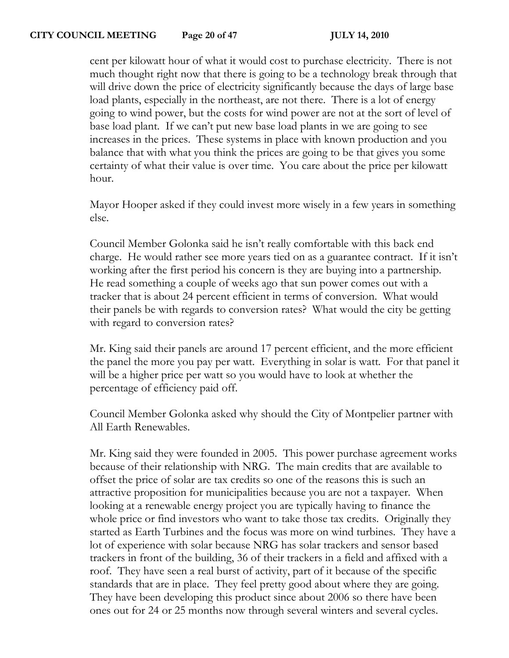cent per kilowatt hour of what it would cost to purchase electricity. There is not much thought right now that there is going to be a technology break through that will drive down the price of electricity significantly because the days of large base load plants, especially in the northeast, are not there. There is a lot of energy going to wind power, but the costs for wind power are not at the sort of level of base load plant. If we can't put new base load plants in we are going to see increases in the prices. These systems in place with known production and you balance that with what you think the prices are going to be that gives you some certainty of what their value is over time. You care about the price per kilowatt hour.

Mayor Hooper asked if they could invest more wisely in a few years in something else.

Council Member Golonka said he isn't really comfortable with this back end charge. He would rather see more years tied on as a guarantee contract. If it isn't working after the first period his concern is they are buying into a partnership. He read something a couple of weeks ago that sun power comes out with a tracker that is about 24 percent efficient in terms of conversion. What would their panels be with regards to conversion rates? What would the city be getting with regard to conversion rates?

Mr. King said their panels are around 17 percent efficient, and the more efficient the panel the more you pay per watt. Everything in solar is watt. For that panel it will be a higher price per watt so you would have to look at whether the percentage of efficiency paid off.

Council Member Golonka asked why should the City of Montpelier partner with All Earth Renewables.

Mr. King said they were founded in 2005. This power purchase agreement works because of their relationship with NRG. The main credits that are available to offset the price of solar are tax credits so one of the reasons this is such an attractive proposition for municipalities because you are not a taxpayer. When looking at a renewable energy project you are typically having to finance the whole price or find investors who want to take those tax credits. Originally they started as Earth Turbines and the focus was more on wind turbines. They have a lot of experience with solar because NRG has solar trackers and sensor based trackers in front of the building, 36 of their trackers in a field and affixed with a roof. They have seen a real burst of activity, part of it because of the specific standards that are in place. They feel pretty good about where they are going. They have been developing this product since about 2006 so there have been ones out for 24 or 25 months now through several winters and several cycles.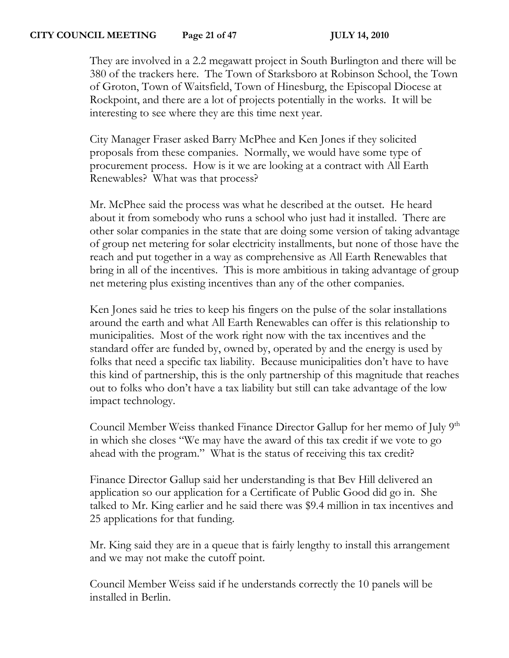## **CITY COUNCIL MEETING Page 21 of 47 JULY 14, 2010**

They are involved in a 2.2 megawatt project in South Burlington and there will be 380 of the trackers here. The Town of Starksboro at Robinson School, the Town of Groton, Town of Waitsfield, Town of Hinesburg, the Episcopal Diocese at Rockpoint, and there are a lot of projects potentially in the works. It will be interesting to see where they are this time next year.

City Manager Fraser asked Barry McPhee and Ken Jones if they solicited proposals from these companies. Normally, we would have some type of procurement process. How is it we are looking at a contract with All Earth Renewables? What was that process?

Mr. McPhee said the process was what he described at the outset. He heard about it from somebody who runs a school who just had it installed. There are other solar companies in the state that are doing some version of taking advantage of group net metering for solar electricity installments, but none of those have the reach and put together in a way as comprehensive as All Earth Renewables that bring in all of the incentives. This is more ambitious in taking advantage of group net metering plus existing incentives than any of the other companies.

Ken Jones said he tries to keep his fingers on the pulse of the solar installations around the earth and what All Earth Renewables can offer is this relationship to municipalities. Most of the work right now with the tax incentives and the standard offer are funded by, owned by, operated by and the energy is used by folks that need a specific tax liability. Because municipalities don't have to have this kind of partnership, this is the only partnership of this magnitude that reaches out to folks who don't have a tax liability but still can take advantage of the low impact technology.

Council Member Weiss thanked Finance Director Gallup for her memo of July 9<sup>th</sup> in which she closes "We may have the award of this tax credit if we vote to go ahead with the program." What is the status of receiving this tax credit?

Finance Director Gallup said her understanding is that Bev Hill delivered an application so our application for a Certificate of Public Good did go in. She talked to Mr. King earlier and he said there was \$9.4 million in tax incentives and 25 applications for that funding.

Mr. King said they are in a queue that is fairly lengthy to install this arrangement and we may not make the cutoff point.

Council Member Weiss said if he understands correctly the 10 panels will be installed in Berlin.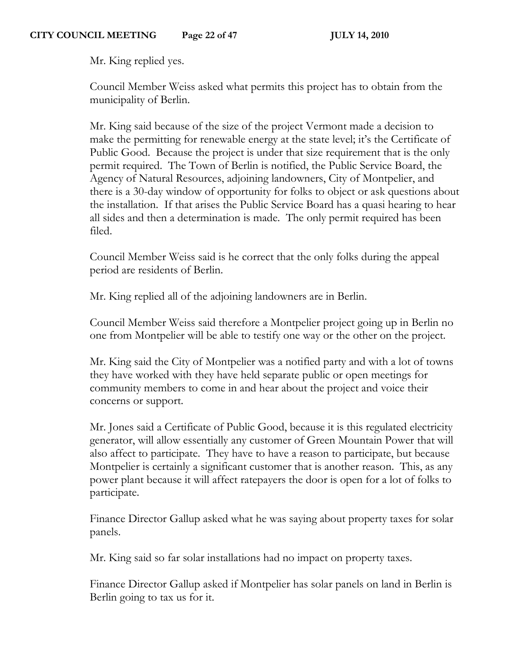Mr. King replied yes.

Council Member Weiss asked what permits this project has to obtain from the municipality of Berlin.

Mr. King said because of the size of the project Vermont made a decision to make the permitting for renewable energy at the state level; it's the Certificate of Public Good. Because the project is under that size requirement that is the only permit required. The Town of Berlin is notified, the Public Service Board, the Agency of Natural Resources, adjoining landowners, City of Montpelier, and there is a 30-day window of opportunity for folks to object or ask questions about the installation. If that arises the Public Service Board has a quasi hearing to hear all sides and then a determination is made. The only permit required has been filed.

Council Member Weiss said is he correct that the only folks during the appeal period are residents of Berlin.

Mr. King replied all of the adjoining landowners are in Berlin.

Council Member Weiss said therefore a Montpelier project going up in Berlin no one from Montpelier will be able to testify one way or the other on the project.

Mr. King said the City of Montpelier was a notified party and with a lot of towns they have worked with they have held separate public or open meetings for community members to come in and hear about the project and voice their concerns or support.

Mr. Jones said a Certificate of Public Good, because it is this regulated electricity generator, will allow essentially any customer of Green Mountain Power that will also affect to participate. They have to have a reason to participate, but because Montpelier is certainly a significant customer that is another reason. This, as any power plant because it will affect ratepayers the door is open for a lot of folks to participate.

Finance Director Gallup asked what he was saying about property taxes for solar panels.

Mr. King said so far solar installations had no impact on property taxes.

Finance Director Gallup asked if Montpelier has solar panels on land in Berlin is Berlin going to tax us for it.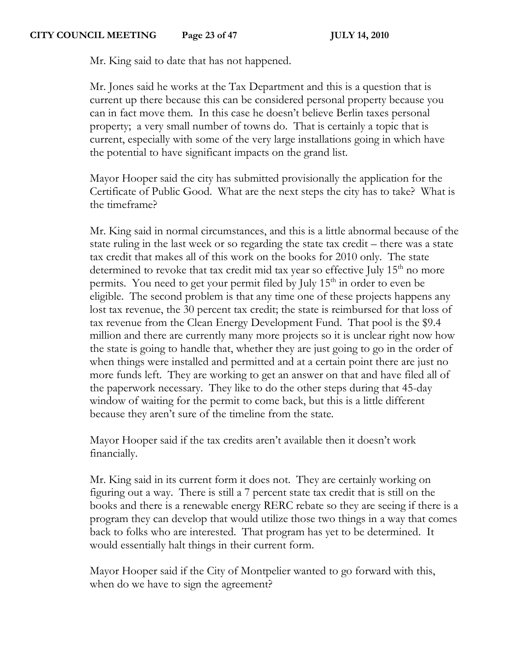Mr. King said to date that has not happened.

Mr. Jones said he works at the Tax Department and this is a question that is current up there because this can be considered personal property because you can in fact move them. In this case he doesn't believe Berlin taxes personal property; a very small number of towns do. That is certainly a topic that is current, especially with some of the very large installations going in which have the potential to have significant impacts on the grand list.

Mayor Hooper said the city has submitted provisionally the application for the Certificate of Public Good. What are the next steps the city has to take? What is the timeframe?

Mr. King said in normal circumstances, and this is a little abnormal because of the state ruling in the last week or so regarding the state tax credit – there was a state tax credit that makes all of this work on the books for 2010 only. The state determined to revoke that tax credit mid tax year so effective July 15<sup>th</sup> no more permits. You need to get your permit filed by July  $15<sup>th</sup>$  in order to even be eligible. The second problem is that any time one of these projects happens any lost tax revenue, the 30 percent tax credit; the state is reimbursed for that loss of tax revenue from the Clean Energy Development Fund. That pool is the \$9.4 million and there are currently many more projects so it is unclear right now how the state is going to handle that, whether they are just going to go in the order of when things were installed and permitted and at a certain point there are just no more funds left. They are working to get an answer on that and have filed all of the paperwork necessary. They like to do the other steps during that 45-day window of waiting for the permit to come back, but this is a little different because they aren't sure of the timeline from the state.

Mayor Hooper said if the tax credits aren't available then it doesn't work financially.

Mr. King said in its current form it does not. They are certainly working on figuring out a way. There is still a 7 percent state tax credit that is still on the books and there is a renewable energy RERC rebate so they are seeing if there is a program they can develop that would utilize those two things in a way that comes back to folks who are interested. That program has yet to be determined. It would essentially halt things in their current form.

Mayor Hooper said if the City of Montpelier wanted to go forward with this, when do we have to sign the agreement?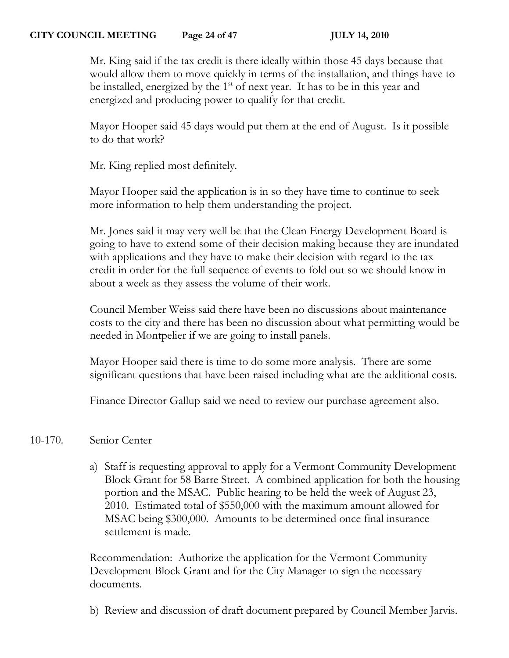# **CITY COUNCIL MEETING Page 24 of 47 JULY 14, 2010**

Mr. King said if the tax credit is there ideally within those 45 days because that would allow them to move quickly in terms of the installation, and things have to be installed, energized by the  $1<sup>st</sup>$  of next year. It has to be in this year and energized and producing power to qualify for that credit.

Mayor Hooper said 45 days would put them at the end of August. Is it possible to do that work?

Mr. King replied most definitely.

Mayor Hooper said the application is in so they have time to continue to seek more information to help them understanding the project.

Mr. Jones said it may very well be that the Clean Energy Development Board is going to have to extend some of their decision making because they are inundated with applications and they have to make their decision with regard to the tax credit in order for the full sequence of events to fold out so we should know in about a week as they assess the volume of their work.

Council Member Weiss said there have been no discussions about maintenance costs to the city and there has been no discussion about what permitting would be needed in Montpelier if we are going to install panels.

Mayor Hooper said there is time to do some more analysis. There are some significant questions that have been raised including what are the additional costs.

Finance Director Gallup said we need to review our purchase agreement also.

# 10-170. Senior Center

a) Staff is requesting approval to apply for a Vermont Community Development Block Grant for 58 Barre Street. A combined application for both the housing portion and the MSAC. Public hearing to be held the week of August 23, 2010. Estimated total of \$550,000 with the maximum amount allowed for MSAC being \$300,000. Amounts to be determined once final insurance settlement is made.

Recommendation: Authorize the application for the Vermont Community Development Block Grant and for the City Manager to sign the necessary documents.

b) Review and discussion of draft document prepared by Council Member Jarvis.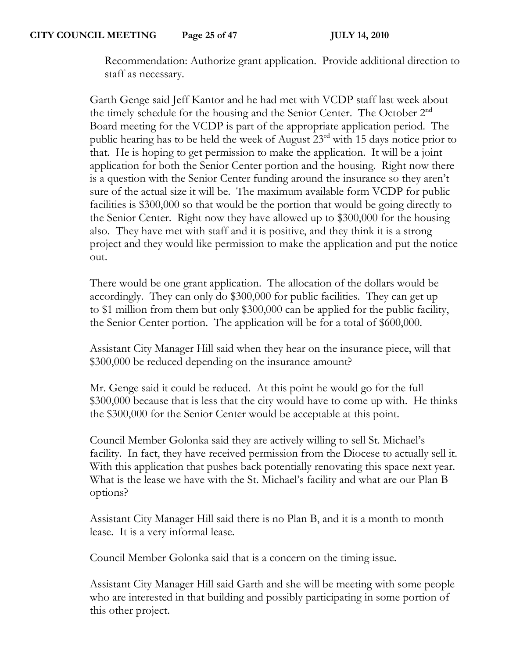Recommendation: Authorize grant application. Provide additional direction to staff as necessary.

Garth Genge said Jeff Kantor and he had met with VCDP staff last week about the timely schedule for the housing and the Senior Center. The October 2nd Board meeting for the VCDP is part of the appropriate application period. The public hearing has to be held the week of August 23rd with 15 days notice prior to that. He is hoping to get permission to make the application. It will be a joint application for both the Senior Center portion and the housing. Right now there is a question with the Senior Center funding around the insurance so they aren't sure of the actual size it will be. The maximum available form VCDP for public facilities is \$300,000 so that would be the portion that would be going directly to the Senior Center. Right now they have allowed up to \$300,000 for the housing also. They have met with staff and it is positive, and they think it is a strong project and they would like permission to make the application and put the notice out.

There would be one grant application. The allocation of the dollars would be accordingly. They can only do \$300,000 for public facilities. They can get up to \$1 million from them but only \$300,000 can be applied for the public facility, the Senior Center portion. The application will be for a total of \$600,000.

Assistant City Manager Hill said when they hear on the insurance piece, will that \$300,000 be reduced depending on the insurance amount?

Mr. Genge said it could be reduced. At this point he would go for the full \$300,000 because that is less that the city would have to come up with. He thinks the \$300,000 for the Senior Center would be acceptable at this point.

Council Member Golonka said they are actively willing to sell St. Michael's facility. In fact, they have received permission from the Diocese to actually sell it. With this application that pushes back potentially renovating this space next year. What is the lease we have with the St. Michael's facility and what are our Plan B options?

Assistant City Manager Hill said there is no Plan B, and it is a month to month lease. It is a very informal lease.

Council Member Golonka said that is a concern on the timing issue.

Assistant City Manager Hill said Garth and she will be meeting with some people who are interested in that building and possibly participating in some portion of this other project.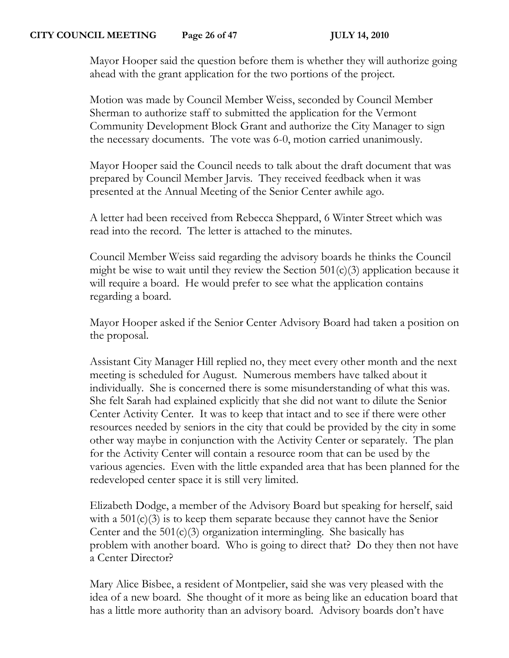Mayor Hooper said the question before them is whether they will authorize going ahead with the grant application for the two portions of the project.

Motion was made by Council Member Weiss, seconded by Council Member Sherman to authorize staff to submitted the application for the Vermont Community Development Block Grant and authorize the City Manager to sign the necessary documents. The vote was 6-0, motion carried unanimously.

Mayor Hooper said the Council needs to talk about the draft document that was prepared by Council Member Jarvis. They received feedback when it was presented at the Annual Meeting of the Senior Center awhile ago.

A letter had been received from Rebecca Sheppard, 6 Winter Street which was read into the record. The letter is attached to the minutes.

Council Member Weiss said regarding the advisory boards he thinks the Council might be wise to wait until they review the Section  $501(c)(3)$  application because it will require a board. He would prefer to see what the application contains regarding a board.

Mayor Hooper asked if the Senior Center Advisory Board had taken a position on the proposal.

Assistant City Manager Hill replied no, they meet every other month and the next meeting is scheduled for August. Numerous members have talked about it individually. She is concerned there is some misunderstanding of what this was. She felt Sarah had explained explicitly that she did not want to dilute the Senior Center Activity Center. It was to keep that intact and to see if there were other resources needed by seniors in the city that could be provided by the city in some other way maybe in conjunction with the Activity Center or separately. The plan for the Activity Center will contain a resource room that can be used by the various agencies. Even with the little expanded area that has been planned for the redeveloped center space it is still very limited.

Elizabeth Dodge, a member of the Advisory Board but speaking for herself, said with a  $501(c)(3)$  is to keep them separate because they cannot have the Senior Center and the  $501(c)(3)$  organization intermingling. She basically has problem with another board. Who is going to direct that? Do they then not have a Center Director?

Mary Alice Bisbee, a resident of Montpelier, said she was very pleased with the idea of a new board. She thought of it more as being like an education board that has a little more authority than an advisory board. Advisory boards don't have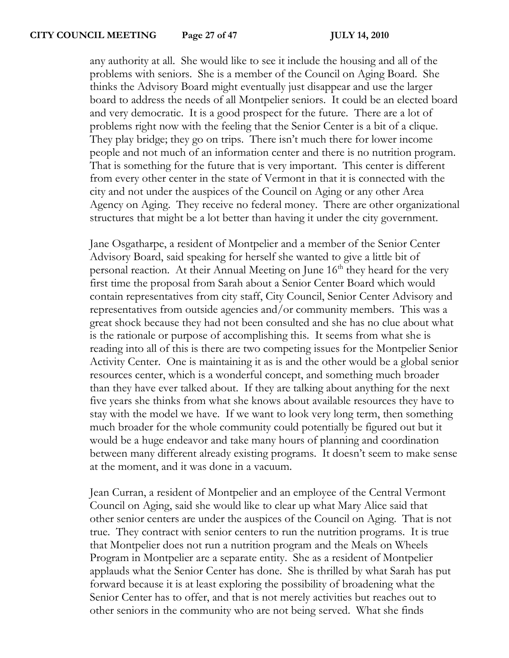any authority at all. She would like to see it include the housing and all of the problems with seniors. She is a member of the Council on Aging Board. She thinks the Advisory Board might eventually just disappear and use the larger board to address the needs of all Montpelier seniors. It could be an elected board and very democratic. It is a good prospect for the future. There are a lot of problems right now with the feeling that the Senior Center is a bit of a clique. They play bridge; they go on trips. There isn't much there for lower income people and not much of an information center and there is no nutrition program. That is something for the future that is very important. This center is different from every other center in the state of Vermont in that it is connected with the city and not under the auspices of the Council on Aging or any other Area Agency on Aging. They receive no federal money. There are other organizational structures that might be a lot better than having it under the city government.

Jane Osgatharpe, a resident of Montpelier and a member of the Senior Center Advisory Board, said speaking for herself she wanted to give a little bit of personal reaction. At their Annual Meeting on June  $16<sup>th</sup>$  they heard for the very first time the proposal from Sarah about a Senior Center Board which would contain representatives from city staff, City Council, Senior Center Advisory and representatives from outside agencies and/or community members. This was a great shock because they had not been consulted and she has no clue about what is the rationale or purpose of accomplishing this. It seems from what she is reading into all of this is there are two competing issues for the Montpelier Senior Activity Center. One is maintaining it as is and the other would be a global senior resources center, which is a wonderful concept, and something much broader than they have ever talked about. If they are talking about anything for the next five years she thinks from what she knows about available resources they have to stay with the model we have. If we want to look very long term, then something much broader for the whole community could potentially be figured out but it would be a huge endeavor and take many hours of planning and coordination between many different already existing programs. It doesn't seem to make sense at the moment, and it was done in a vacuum.

Jean Curran, a resident of Montpelier and an employee of the Central Vermont Council on Aging, said she would like to clear up what Mary Alice said that other senior centers are under the auspices of the Council on Aging. That is not true. They contract with senior centers to run the nutrition programs. It is true that Montpelier does not run a nutrition program and the Meals on Wheels Program in Montpelier are a separate entity. She as a resident of Montpelier applauds what the Senior Center has done. She is thrilled by what Sarah has put forward because it is at least exploring the possibility of broadening what the Senior Center has to offer, and that is not merely activities but reaches out to other seniors in the community who are not being served. What she finds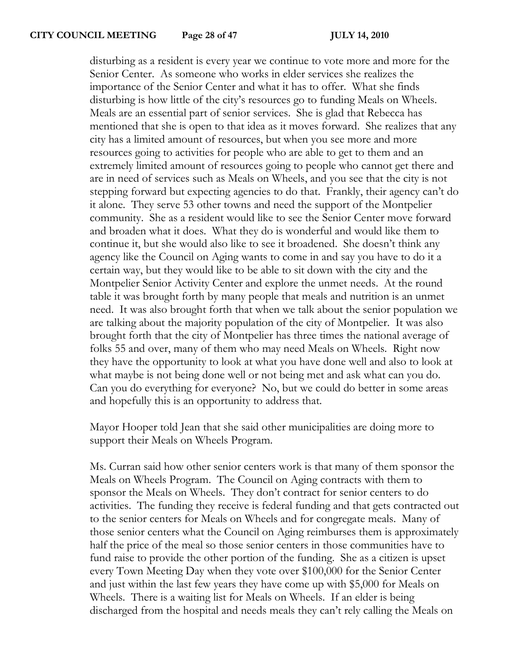disturbing as a resident is every year we continue to vote more and more for the Senior Center. As someone who works in elder services she realizes the importance of the Senior Center and what it has to offer. What she finds disturbing is how little of the city's resources go to funding Meals on Wheels. Meals are an essential part of senior services. She is glad that Rebecca has mentioned that she is open to that idea as it moves forward. She realizes that any city has a limited amount of resources, but when you see more and more resources going to activities for people who are able to get to them and an extremely limited amount of resources going to people who cannot get there and are in need of services such as Meals on Wheels, and you see that the city is not stepping forward but expecting agencies to do that. Frankly, their agency can't do it alone. They serve 53 other towns and need the support of the Montpelier community. She as a resident would like to see the Senior Center move forward and broaden what it does. What they do is wonderful and would like them to continue it, but she would also like to see it broadened. She doesn't think any agency like the Council on Aging wants to come in and say you have to do it a certain way, but they would like to be able to sit down with the city and the Montpelier Senior Activity Center and explore the unmet needs. At the round table it was brought forth by many people that meals and nutrition is an unmet need. It was also brought forth that when we talk about the senior population we are talking about the majority population of the city of Montpelier. It was also brought forth that the city of Montpelier has three times the national average of folks 55 and over, many of them who may need Meals on Wheels. Right now they have the opportunity to look at what you have done well and also to look at what maybe is not being done well or not being met and ask what can you do. Can you do everything for everyone? No, but we could do better in some areas and hopefully this is an opportunity to address that.

Mayor Hooper told Jean that she said other municipalities are doing more to support their Meals on Wheels Program.

Ms. Curran said how other senior centers work is that many of them sponsor the Meals on Wheels Program. The Council on Aging contracts with them to sponsor the Meals on Wheels. They don't contract for senior centers to do activities. The funding they receive is federal funding and that gets contracted out to the senior centers for Meals on Wheels and for congregate meals. Many of those senior centers what the Council on Aging reimburses them is approximately half the price of the meal so those senior centers in those communities have to fund raise to provide the other portion of the funding. She as a citizen is upset every Town Meeting Day when they vote over \$100,000 for the Senior Center and just within the last few years they have come up with \$5,000 for Meals on Wheels. There is a waiting list for Meals on Wheels. If an elder is being discharged from the hospital and needs meals they can't rely calling the Meals on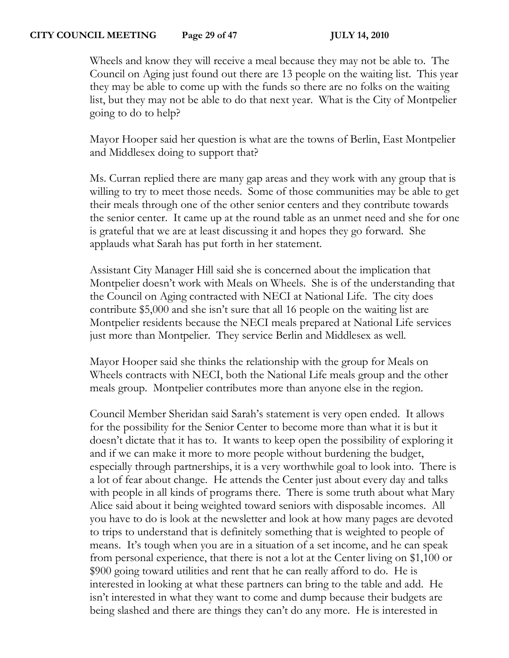#### **CITY COUNCIL MEETING Page 29 of 47 JULY 14, 2010**

Wheels and know they will receive a meal because they may not be able to. The Council on Aging just found out there are 13 people on the waiting list. This year they may be able to come up with the funds so there are no folks on the waiting list, but they may not be able to do that next year. What is the City of Montpelier going to do to help?

Mayor Hooper said her question is what are the towns of Berlin, East Montpelier and Middlesex doing to support that?

Ms. Curran replied there are many gap areas and they work with any group that is willing to try to meet those needs. Some of those communities may be able to get their meals through one of the other senior centers and they contribute towards the senior center. It came up at the round table as an unmet need and she for one is grateful that we are at least discussing it and hopes they go forward. She applauds what Sarah has put forth in her statement.

Assistant City Manager Hill said she is concerned about the implication that Montpelier doesn't work with Meals on Wheels. She is of the understanding that the Council on Aging contracted with NECI at National Life. The city does contribute \$5,000 and she isn't sure that all 16 people on the waiting list are Montpelier residents because the NECI meals prepared at National Life services just more than Montpelier. They service Berlin and Middlesex as well.

Mayor Hooper said she thinks the relationship with the group for Meals on Wheels contracts with NECI, both the National Life meals group and the other meals group. Montpelier contributes more than anyone else in the region.

Council Member Sheridan said Sarah's statement is very open ended. It allows for the possibility for the Senior Center to become more than what it is but it doesn't dictate that it has to. It wants to keep open the possibility of exploring it and if we can make it more to more people without burdening the budget, especially through partnerships, it is a very worthwhile goal to look into. There is a lot of fear about change. He attends the Center just about every day and talks with people in all kinds of programs there. There is some truth about what Mary Alice said about it being weighted toward seniors with disposable incomes. All you have to do is look at the newsletter and look at how many pages are devoted to trips to understand that is definitely something that is weighted to people of means. It's tough when you are in a situation of a set income, and he can speak from personal experience, that there is not a lot at the Center living on \$1,100 or \$900 going toward utilities and rent that he can really afford to do. He is interested in looking at what these partners can bring to the table and add. He isn't interested in what they want to come and dump because their budgets are being slashed and there are things they can't do any more. He is interested in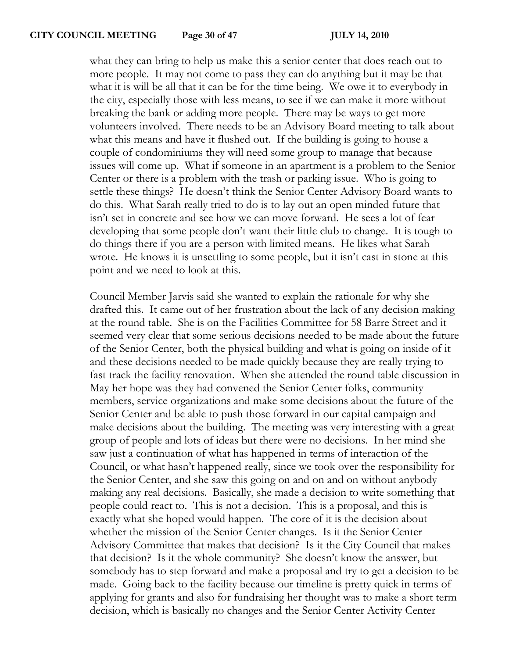what they can bring to help us make this a senior center that does reach out to more people. It may not come to pass they can do anything but it may be that what it is will be all that it can be for the time being. We owe it to everybody in the city, especially those with less means, to see if we can make it more without breaking the bank or adding more people. There may be ways to get more volunteers involved. There needs to be an Advisory Board meeting to talk about what this means and have it flushed out. If the building is going to house a couple of condominiums they will need some group to manage that because issues will come up. What if someone in an apartment is a problem to the Senior Center or there is a problem with the trash or parking issue. Who is going to settle these things? He doesn't think the Senior Center Advisory Board wants to do this. What Sarah really tried to do is to lay out an open minded future that isn't set in concrete and see how we can move forward. He sees a lot of fear developing that some people don't want their little club to change. It is tough to do things there if you are a person with limited means. He likes what Sarah wrote. He knows it is unsettling to some people, but it isn't cast in stone at this point and we need to look at this.

Council Member Jarvis said she wanted to explain the rationale for why she drafted this. It came out of her frustration about the lack of any decision making at the round table. She is on the Facilities Committee for 58 Barre Street and it seemed very clear that some serious decisions needed to be made about the future of the Senior Center, both the physical building and what is going on inside of it and these decisions needed to be made quickly because they are really trying to fast track the facility renovation. When she attended the round table discussion in May her hope was they had convened the Senior Center folks, community members, service organizations and make some decisions about the future of the Senior Center and be able to push those forward in our capital campaign and make decisions about the building. The meeting was very interesting with a great group of people and lots of ideas but there were no decisions. In her mind she saw just a continuation of what has happened in terms of interaction of the Council, or what hasn't happened really, since we took over the responsibility for the Senior Center, and she saw this going on and on and on without anybody making any real decisions. Basically, she made a decision to write something that people could react to. This is not a decision. This is a proposal, and this is exactly what she hoped would happen. The core of it is the decision about whether the mission of the Senior Center changes. Is it the Senior Center Advisory Committee that makes that decision? Is it the City Council that makes that decision? Is it the whole community? She doesn't know the answer, but somebody has to step forward and make a proposal and try to get a decision to be made. Going back to the facility because our timeline is pretty quick in terms of applying for grants and also for fundraising her thought was to make a short term decision, which is basically no changes and the Senior Center Activity Center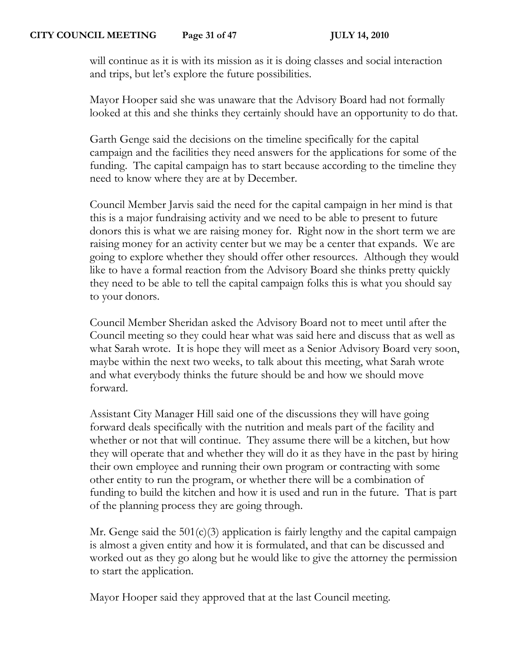will continue as it is with its mission as it is doing classes and social interaction and trips, but let's explore the future possibilities.

Mayor Hooper said she was unaware that the Advisory Board had not formally looked at this and she thinks they certainly should have an opportunity to do that.

Garth Genge said the decisions on the timeline specifically for the capital campaign and the facilities they need answers for the applications for some of the funding. The capital campaign has to start because according to the timeline they need to know where they are at by December.

Council Member Jarvis said the need for the capital campaign in her mind is that this is a major fundraising activity and we need to be able to present to future donors this is what we are raising money for. Right now in the short term we are raising money for an activity center but we may be a center that expands. We are going to explore whether they should offer other resources. Although they would like to have a formal reaction from the Advisory Board she thinks pretty quickly they need to be able to tell the capital campaign folks this is what you should say to your donors.

Council Member Sheridan asked the Advisory Board not to meet until after the Council meeting so they could hear what was said here and discuss that as well as what Sarah wrote. It is hope they will meet as a Senior Advisory Board very soon, maybe within the next two weeks, to talk about this meeting, what Sarah wrote and what everybody thinks the future should be and how we should move forward.

Assistant City Manager Hill said one of the discussions they will have going forward deals specifically with the nutrition and meals part of the facility and whether or not that will continue. They assume there will be a kitchen, but how they will operate that and whether they will do it as they have in the past by hiring their own employee and running their own program or contracting with some other entity to run the program, or whether there will be a combination of funding to build the kitchen and how it is used and run in the future. That is part of the planning process they are going through.

Mr. Genge said the  $501(c)(3)$  application is fairly lengthy and the capital campaign is almost a given entity and how it is formulated, and that can be discussed and worked out as they go along but he would like to give the attorney the permission to start the application.

Mayor Hooper said they approved that at the last Council meeting.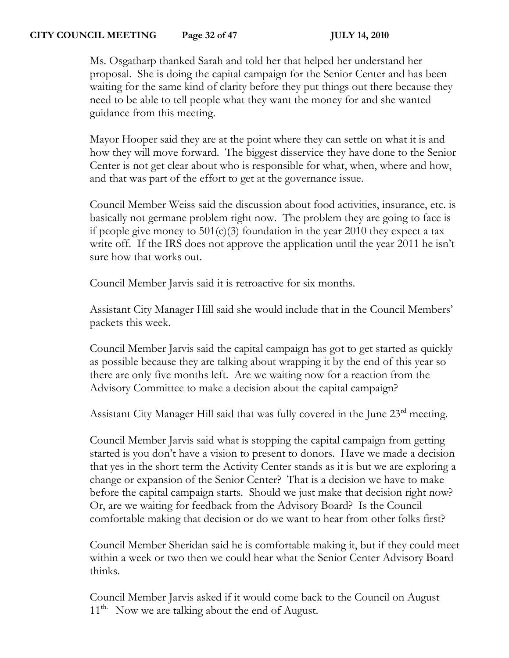# **CITY COUNCIL MEETING Page 32 of 47 JULY 14, 2010**

Ms. Osgatharp thanked Sarah and told her that helped her understand her proposal. She is doing the capital campaign for the Senior Center and has been waiting for the same kind of clarity before they put things out there because they need to be able to tell people what they want the money for and she wanted guidance from this meeting.

Mayor Hooper said they are at the point where they can settle on what it is and how they will move forward. The biggest disservice they have done to the Senior Center is not get clear about who is responsible for what, when, where and how, and that was part of the effort to get at the governance issue.

Council Member Weiss said the discussion about food activities, insurance, etc. is basically not germane problem right now. The problem they are going to face is if people give money to  $501(c)(3)$  foundation in the year 2010 they expect a tax write off. If the IRS does not approve the application until the year 2011 he isn't sure how that works out.

Council Member Jarvis said it is retroactive for six months.

Assistant City Manager Hill said she would include that in the Council Members' packets this week.

Council Member Jarvis said the capital campaign has got to get started as quickly as possible because they are talking about wrapping it by the end of this year so there are only five months left. Are we waiting now for a reaction from the Advisory Committee to make a decision about the capital campaign?

Assistant City Manager Hill said that was fully covered in the June 23<sup>rd</sup> meeting.

Council Member Jarvis said what is stopping the capital campaign from getting started is you don't have a vision to present to donors. Have we made a decision that yes in the short term the Activity Center stands as it is but we are exploring a change or expansion of the Senior Center? That is a decision we have to make before the capital campaign starts. Should we just make that decision right now? Or, are we waiting for feedback from the Advisory Board? Is the Council comfortable making that decision or do we want to hear from other folks first?

Council Member Sheridan said he is comfortable making it, but if they could meet within a week or two then we could hear what the Senior Center Advisory Board thinks.

Council Member Jarvis asked if it would come back to the Council on August 11<sup>th.</sup> Now we are talking about the end of August.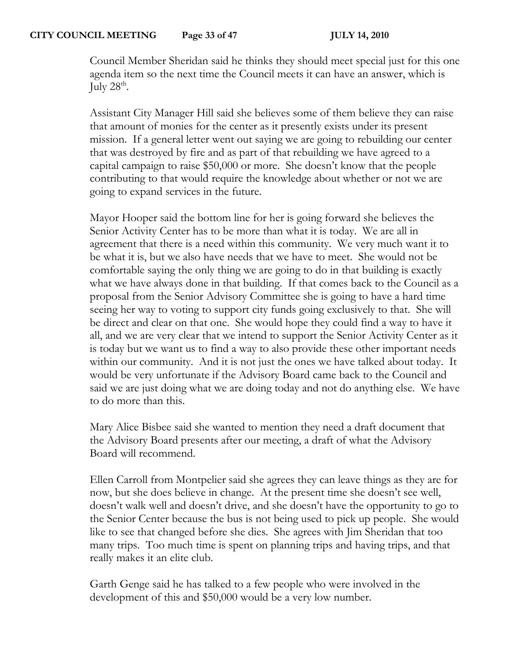Council Member Sheridan said he thinks they should meet special just for this one agenda item so the next time the Council meets it can have an answer, which is July  $28^{\text{th}}$ .

Assistant City Manager Hill said she believes some of them believe they can raise that amount of monies for the center as it presently exists under its present mission. If a general letter went out saying we are going to rebuilding our center that was destroyed by fire and as part of that rebuilding we have agreed to a capital campaign to raise \$50,000 or more. She doesn't know that the people contributing to that would require the knowledge about whether or not we are going to expand services in the future.

Mayor Hooper said the bottom line for her is going forward she believes the Senior Activity Center has to be more than what it is today. We are all in agreement that there is a need within this community. We very much want it to be what it is, but we also have needs that we have to meet. She would not be comfortable saying the only thing we are going to do in that building is exactly what we have always done in that building. If that comes back to the Council as a proposal from the Senior Advisory Committee she is going to have a hard time seeing her way to voting to support city funds going exclusively to that. She will be direct and clear on that one. She would hope they could find a way to have it all, and we are very clear that we intend to support the Senior Activity Center as it is today but we want us to find a way to also provide these other important needs within our community. And it is not just the ones we have talked about today. It would be very unfortunate if the Advisory Board came back to the Council and said we are just doing what we are doing today and not do anything else. We have to do more than this.

Mary Alice Bisbee said she wanted to mention they need a draft document that the Advisory Board presents after our meeting, a draft of what the Advisory Board will recommend.

Ellen Carroll from Montpelier said she agrees they can leave things as they are for now, but she does believe in change. At the present time she doesn't see well, doesn't walk well and doesn't drive, and she doesn't have the opportunity to go to the Senior Center because the bus is not being used to pick up people. She would like to see that changed before she dies. She agrees with Jim Sheridan that too many trips. Too much time is spent on planning trips and having trips, and that really makes it an elite club.

Garth Genge said he has talked to a few people who were involved in the development of this and \$50,000 would be a very low number.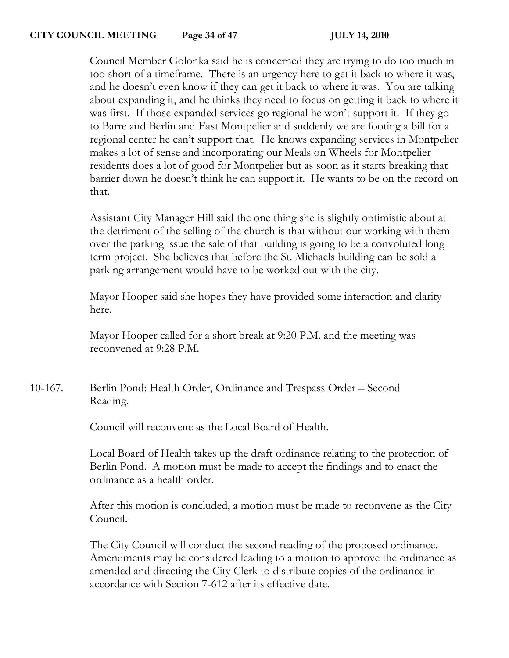#### **CITY COUNCIL MEETING Page 34 of 47 JULY 14, 2010**

Council Member Golonka said he is concerned they are trying to do too much in too short of a timeframe. There is an urgency here to get it back to where it was, and he doesn't even know if they can get it back to where it was. You are talking about expanding it, and he thinks they need to focus on getting it back to where it was first. If those expanded services go regional he won't support it. If they go to Barre and Berlin and East Montpelier and suddenly we are footing a bill for a regional center he can't support that. He knows expanding services in Montpelier makes a lot of sense and incorporating our Meals on Wheels for Montpelier residents does a lot of good for Montpelier but as soon as it starts breaking that barrier down he doesn't think he can support it. He wants to be on the record on that.

Assistant City Manager Hill said the one thing she is slightly optimistic about at the detriment of the selling of the church is that without our working with them over the parking issue the sale of that building is going to be a convoluted long term project. She believes that before the St. Michaels building can be sold a parking arrangement would have to be worked out with the city.

Mayor Hooper said she hopes they have provided some interaction and clarity here.

Mayor Hooper called for a short break at 9:20 P.M. and the meeting was reconvened at 9:28 P.M.

10-167. Berlin Pond: Health Order, Ordinance and Trespass Order – Second Reading.

Council will reconvene as the Local Board of Health.

Local Board of Health takes up the draft ordinance relating to the protection of Berlin Pond. A motion must be made to accept the findings and to enact the ordinance as a health order.

After this motion is concluded, a motion must be made to reconvene as the City Council.

The City Council will conduct the second reading of the proposed ordinance. Amendments may be considered leading to a motion to approve the ordinance as amended and directing the City Clerk to distribute copies of the ordinance in accordance with Section 7-612 after its effective date.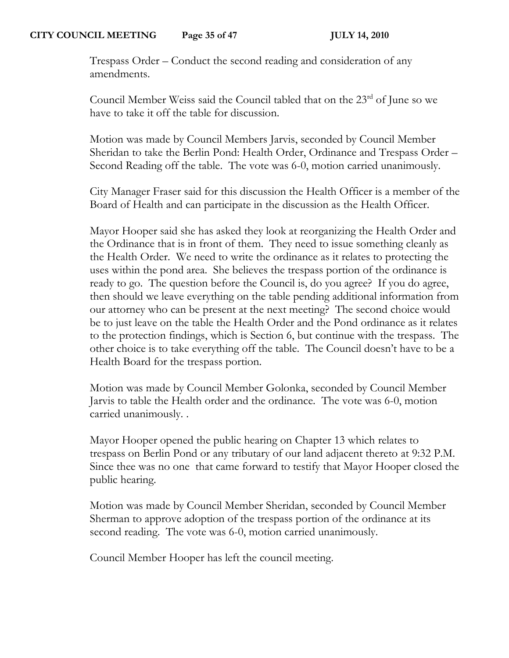Trespass Order – Conduct the second reading and consideration of any amendments.

Council Member Weiss said the Council tabled that on the  $23<sup>rd</sup>$  of June so we have to take it off the table for discussion.

Motion was made by Council Members Jarvis, seconded by Council Member Sheridan to take the Berlin Pond: Health Order, Ordinance and Trespass Order – Second Reading off the table. The vote was 6-0, motion carried unanimously.

City Manager Fraser said for this discussion the Health Officer is a member of the Board of Health and can participate in the discussion as the Health Officer.

Mayor Hooper said she has asked they look at reorganizing the Health Order and the Ordinance that is in front of them. They need to issue something cleanly as the Health Order. We need to write the ordinance as it relates to protecting the uses within the pond area. She believes the trespass portion of the ordinance is ready to go. The question before the Council is, do you agree? If you do agree, then should we leave everything on the table pending additional information from our attorney who can be present at the next meeting? The second choice would be to just leave on the table the Health Order and the Pond ordinance as it relates to the protection findings, which is Section 6, but continue with the trespass. The other choice is to take everything off the table. The Council doesn't have to be a Health Board for the trespass portion.

Motion was made by Council Member Golonka, seconded by Council Member Jarvis to table the Health order and the ordinance. The vote was 6-0, motion carried unanimously. .

Mayor Hooper opened the public hearing on Chapter 13 which relates to trespass on Berlin Pond or any tributary of our land adjacent thereto at 9:32 P.M. Since thee was no one that came forward to testify that Mayor Hooper closed the public hearing.

Motion was made by Council Member Sheridan, seconded by Council Member Sherman to approve adoption of the trespass portion of the ordinance at its second reading. The vote was 6-0, motion carried unanimously.

Council Member Hooper has left the council meeting.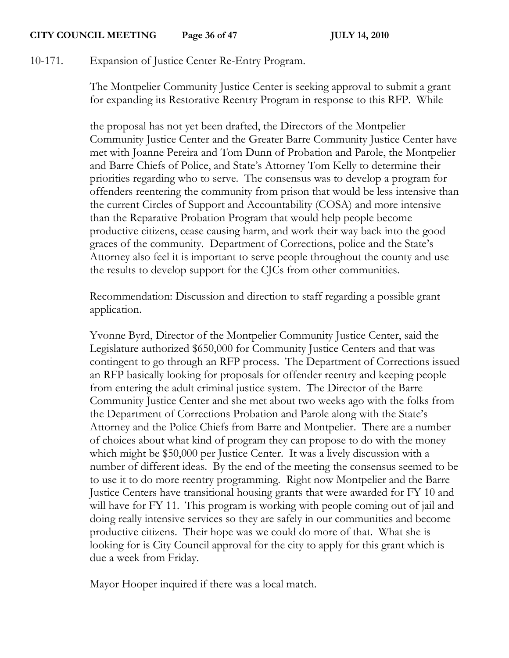#### **CITY COUNCIL MEETING Page 36 of 47 JULY 14, 2010**

10-171. Expansion of Justice Center Re-Entry Program.

The Montpelier Community Justice Center is seeking approval to submit a grant for expanding its Restorative Reentry Program in response to this RFP. While

the proposal has not yet been drafted, the Directors of the Montpelier Community Justice Center and the Greater Barre Community Justice Center have met with Joanne Pereira and Tom Dunn of Probation and Parole, the Montpelier and Barre Chiefs of Police, and State's Attorney Tom Kelly to determine their priorities regarding who to serve. The consensus was to develop a program for offenders reentering the community from prison that would be less intensive than the current Circles of Support and Accountability (COSA) and more intensive than the Reparative Probation Program that would help people become productive citizens, cease causing harm, and work their way back into the good graces of the community. Department of Corrections, police and the State's Attorney also feel it is important to serve people throughout the county and use the results to develop support for the CJCs from other communities.

Recommendation: Discussion and direction to staff regarding a possible grant application.

Yvonne Byrd, Director of the Montpelier Community Justice Center, said the Legislature authorized \$650,000 for Community Justice Centers and that was contingent to go through an RFP process. The Department of Corrections issued an RFP basically looking for proposals for offender reentry and keeping people from entering the adult criminal justice system. The Director of the Barre Community Justice Center and she met about two weeks ago with the folks from the Department of Corrections Probation and Parole along with the State's Attorney and the Police Chiefs from Barre and Montpelier. There are a number of choices about what kind of program they can propose to do with the money which might be \$50,000 per Justice Center. It was a lively discussion with a number of different ideas. By the end of the meeting the consensus seemed to be to use it to do more reentry programming. Right now Montpelier and the Barre Justice Centers have transitional housing grants that were awarded for FY 10 and will have for FY 11. This program is working with people coming out of jail and doing really intensive services so they are safely in our communities and become productive citizens. Their hope was we could do more of that. What she is looking for is City Council approval for the city to apply for this grant which is due a week from Friday.

Mayor Hooper inquired if there was a local match.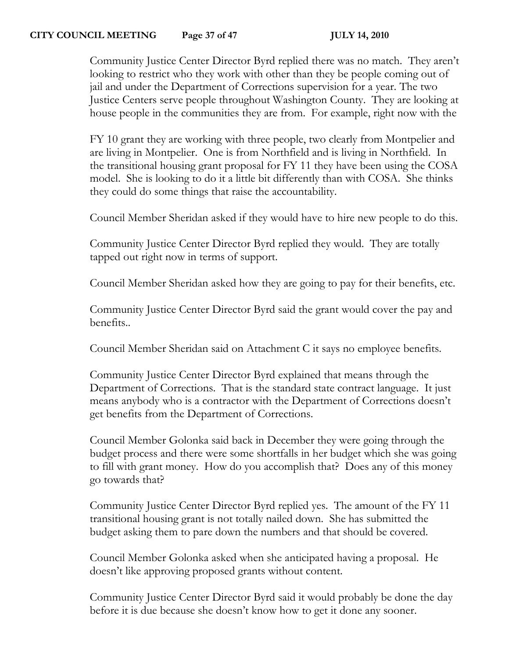# **CITY COUNCIL MEETING Page 37 of 47 JULY 14, 2010**

Community Justice Center Director Byrd replied there was no match. They aren't looking to restrict who they work with other than they be people coming out of jail and under the Department of Corrections supervision for a year. The two Justice Centers serve people throughout Washington County. They are looking at house people in the communities they are from. For example, right now with the

FY 10 grant they are working with three people, two clearly from Montpelier and are living in Montpelier. One is from Northfield and is living in Northfield. In the transitional housing grant proposal for FY 11 they have been using the COSA model. She is looking to do it a little bit differently than with COSA. She thinks they could do some things that raise the accountability.

Council Member Sheridan asked if they would have to hire new people to do this.

Community Justice Center Director Byrd replied they would. They are totally tapped out right now in terms of support.

Council Member Sheridan asked how they are going to pay for their benefits, etc.

Community Justice Center Director Byrd said the grant would cover the pay and benefits..

Council Member Sheridan said on Attachment C it says no employee benefits.

Community Justice Center Director Byrd explained that means through the Department of Corrections. That is the standard state contract language. It just means anybody who is a contractor with the Department of Corrections doesn't get benefits from the Department of Corrections.

Council Member Golonka said back in December they were going through the budget process and there were some shortfalls in her budget which she was going to fill with grant money. How do you accomplish that? Does any of this money go towards that?

Community Justice Center Director Byrd replied yes. The amount of the FY 11 transitional housing grant is not totally nailed down. She has submitted the budget asking them to pare down the numbers and that should be covered.

Council Member Golonka asked when she anticipated having a proposal. He doesn't like approving proposed grants without content.

Community Justice Center Director Byrd said it would probably be done the day before it is due because she doesn't know how to get it done any sooner.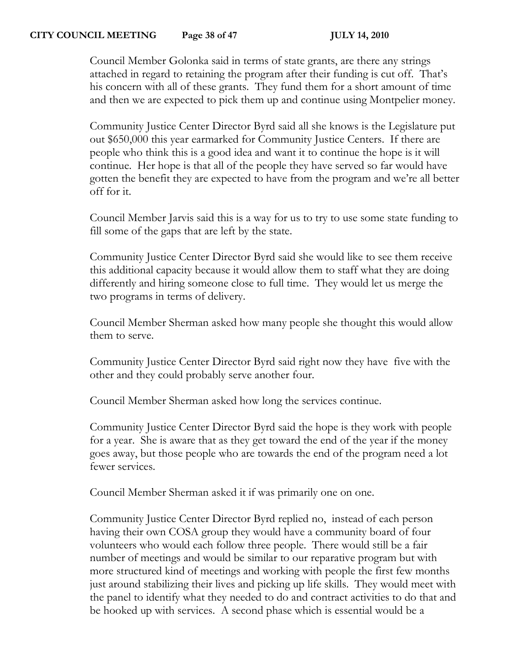## **CITY COUNCIL MEETING Page 38 of 47 JULY 14, 2010**

Council Member Golonka said in terms of state grants, are there any strings attached in regard to retaining the program after their funding is cut off. That's his concern with all of these grants. They fund them for a short amount of time and then we are expected to pick them up and continue using Montpelier money.

Community Justice Center Director Byrd said all she knows is the Legislature put out \$650,000 this year earmarked for Community Justice Centers. If there are people who think this is a good idea and want it to continue the hope is it will continue. Her hope is that all of the people they have served so far would have gotten the benefit they are expected to have from the program and we're all better off for it.

Council Member Jarvis said this is a way for us to try to use some state funding to fill some of the gaps that are left by the state.

Community Justice Center Director Byrd said she would like to see them receive this additional capacity because it would allow them to staff what they are doing differently and hiring someone close to full time. They would let us merge the two programs in terms of delivery.

Council Member Sherman asked how many people she thought this would allow them to serve.

Community Justice Center Director Byrd said right now they have five with the other and they could probably serve another four.

Council Member Sherman asked how long the services continue.

Community Justice Center Director Byrd said the hope is they work with people for a year. She is aware that as they get toward the end of the year if the money goes away, but those people who are towards the end of the program need a lot fewer services.

Council Member Sherman asked it if was primarily one on one.

Community Justice Center Director Byrd replied no, instead of each person having their own COSA group they would have a community board of four volunteers who would each follow three people. There would still be a fair number of meetings and would be similar to our reparative program but with more structured kind of meetings and working with people the first few months just around stabilizing their lives and picking up life skills. They would meet with the panel to identify what they needed to do and contract activities to do that and be hooked up with services. A second phase which is essential would be a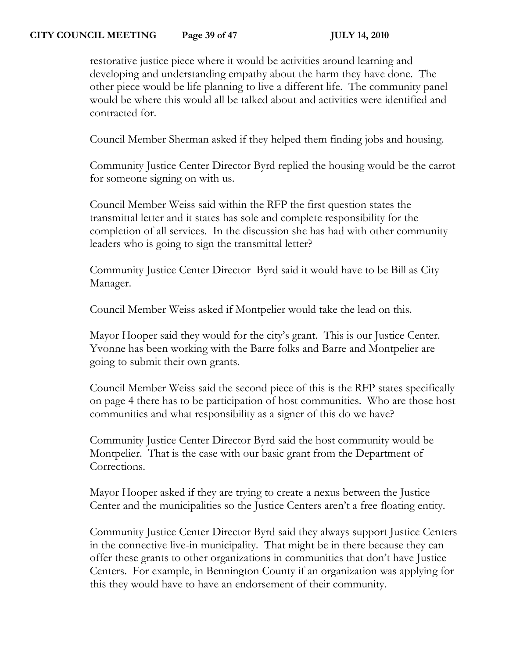restorative justice piece where it would be activities around learning and developing and understanding empathy about the harm they have done. The other piece would be life planning to live a different life. The community panel would be where this would all be talked about and activities were identified and contracted for.

Council Member Sherman asked if they helped them finding jobs and housing.

Community Justice Center Director Byrd replied the housing would be the carrot for someone signing on with us.

Council Member Weiss said within the RFP the first question states the transmittal letter and it states has sole and complete responsibility for the completion of all services. In the discussion she has had with other community leaders who is going to sign the transmittal letter?

Community Justice Center Director Byrd said it would have to be Bill as City Manager.

Council Member Weiss asked if Montpelier would take the lead on this.

Mayor Hooper said they would for the city's grant. This is our Justice Center. Yvonne has been working with the Barre folks and Barre and Montpelier are going to submit their own grants.

Council Member Weiss said the second piece of this is the RFP states specifically on page 4 there has to be participation of host communities. Who are those host communities and what responsibility as a signer of this do we have?

Community Justice Center Director Byrd said the host community would be Montpelier. That is the case with our basic grant from the Department of Corrections.

Mayor Hooper asked if they are trying to create a nexus between the Justice Center and the municipalities so the Justice Centers aren't a free floating entity.

Community Justice Center Director Byrd said they always support Justice Centers in the connective live-in municipality. That might be in there because they can offer these grants to other organizations in communities that don't have Justice Centers. For example, in Bennington County if an organization was applying for this they would have to have an endorsement of their community.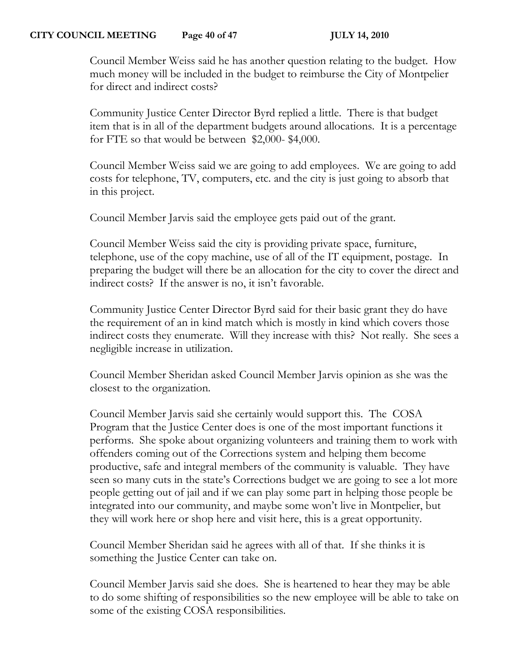#### **CITY COUNCIL MEETING Page 40 of 47 JULY 14, 2010**

Council Member Weiss said he has another question relating to the budget. How much money will be included in the budget to reimburse the City of Montpelier for direct and indirect costs?

Community Justice Center Director Byrd replied a little. There is that budget item that is in all of the department budgets around allocations. It is a percentage for FTE so that would be between \$2,000- \$4,000.

Council Member Weiss said we are going to add employees. We are going to add costs for telephone, TV, computers, etc. and the city is just going to absorb that in this project.

Council Member Jarvis said the employee gets paid out of the grant.

Council Member Weiss said the city is providing private space, furniture, telephone, use of the copy machine, use of all of the IT equipment, postage. In preparing the budget will there be an allocation for the city to cover the direct and indirect costs? If the answer is no, it isn't favorable.

Community Justice Center Director Byrd said for their basic grant they do have the requirement of an in kind match which is mostly in kind which covers those indirect costs they enumerate. Will they increase with this? Not really. She sees a negligible increase in utilization.

Council Member Sheridan asked Council Member Jarvis opinion as she was the closest to the organization.

Council Member Jarvis said she certainly would support this. The COSA Program that the Justice Center does is one of the most important functions it performs. She spoke about organizing volunteers and training them to work with offenders coming out of the Corrections system and helping them become productive, safe and integral members of the community is valuable. They have seen so many cuts in the state's Corrections budget we are going to see a lot more people getting out of jail and if we can play some part in helping those people be integrated into our community, and maybe some won't live in Montpelier, but they will work here or shop here and visit here, this is a great opportunity.

Council Member Sheridan said he agrees with all of that. If she thinks it is something the Justice Center can take on.

Council Member Jarvis said she does. She is heartened to hear they may be able to do some shifting of responsibilities so the new employee will be able to take on some of the existing COSA responsibilities.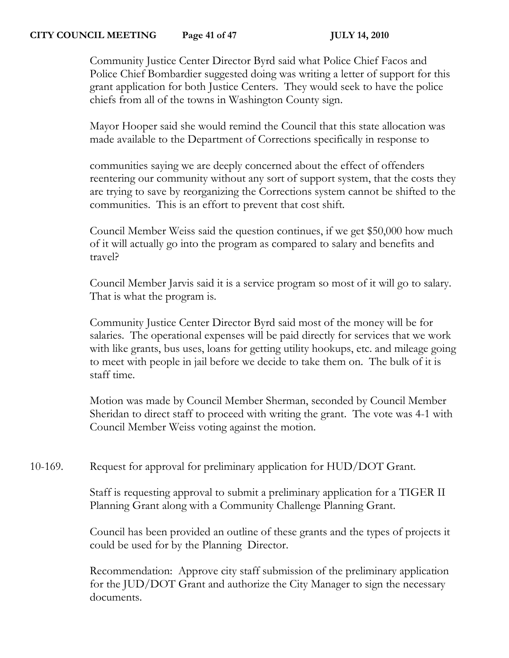#### **CITY COUNCIL MEETING Page 41 of 47 JULY 14, 2010**

Community Justice Center Director Byrd said what Police Chief Facos and Police Chief Bombardier suggested doing was writing a letter of support for this grant application for both Justice Centers. They would seek to have the police chiefs from all of the towns in Washington County sign.

Mayor Hooper said she would remind the Council that this state allocation was made available to the Department of Corrections specifically in response to

communities saying we are deeply concerned about the effect of offenders reentering our community without any sort of support system, that the costs they are trying to save by reorganizing the Corrections system cannot be shifted to the communities. This is an effort to prevent that cost shift.

Council Member Weiss said the question continues, if we get \$50,000 how much of it will actually go into the program as compared to salary and benefits and travel?

Council Member Jarvis said it is a service program so most of it will go to salary. That is what the program is.

Community Justice Center Director Byrd said most of the money will be for salaries. The operational expenses will be paid directly for services that we work with like grants, bus uses, loans for getting utility hookups, etc. and mileage going to meet with people in jail before we decide to take them on. The bulk of it is staff time.

Motion was made by Council Member Sherman, seconded by Council Member Sheridan to direct staff to proceed with writing the grant. The vote was 4-1 with Council Member Weiss voting against the motion.

10-169. Request for approval for preliminary application for HUD/DOT Grant.

Staff is requesting approval to submit a preliminary application for a TIGER II Planning Grant along with a Community Challenge Planning Grant.

Council has been provided an outline of these grants and the types of projects it could be used for by the Planning Director.

Recommendation: Approve city staff submission of the preliminary application for the JUD/DOT Grant and authorize the City Manager to sign the necessary documents.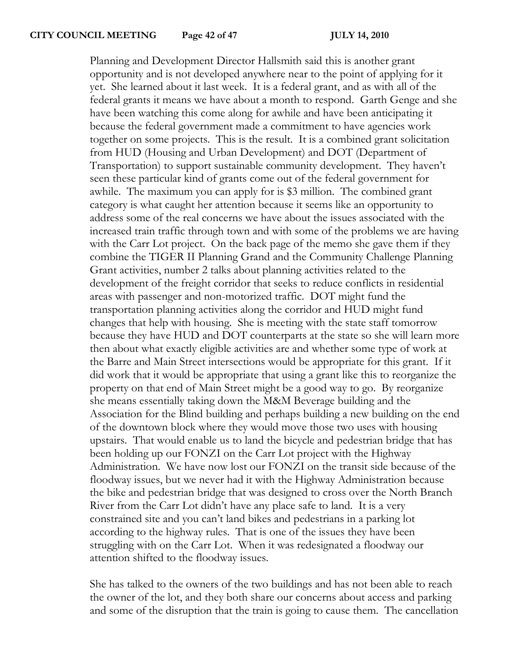Planning and Development Director Hallsmith said this is another grant opportunity and is not developed anywhere near to the point of applying for it yet. She learned about it last week. It is a federal grant, and as with all of the federal grants it means we have about a month to respond. Garth Genge and she have been watching this come along for awhile and have been anticipating it because the federal government made a commitment to have agencies work together on some projects. This is the result. It is a combined grant solicitation from HUD (Housing and Urban Development) and DOT (Department of Transportation) to support sustainable community development. They haven't seen these particular kind of grants come out of the federal government for awhile. The maximum you can apply for is \$3 million. The combined grant category is what caught her attention because it seems like an opportunity to address some of the real concerns we have about the issues associated with the increased train traffic through town and with some of the problems we are having with the Carr Lot project. On the back page of the memo she gave them if they combine the TIGER II Planning Grand and the Community Challenge Planning Grant activities, number 2 talks about planning activities related to the development of the freight corridor that seeks to reduce conflicts in residential areas with passenger and non-motorized traffic. DOT might fund the transportation planning activities along the corridor and HUD might fund changes that help with housing. She is meeting with the state staff tomorrow because they have HUD and DOT counterparts at the state so she will learn more then about what exactly eligible activities are and whether some type of work at the Barre and Main Street intersections would be appropriate for this grant. If it did work that it would be appropriate that using a grant like this to reorganize the property on that end of Main Street might be a good way to go. By reorganize she means essentially taking down the M&M Beverage building and the Association for the Blind building and perhaps building a new building on the end of the downtown block where they would move those two uses with housing upstairs. That would enable us to land the bicycle and pedestrian bridge that has been holding up our FONZI on the Carr Lot project with the Highway Administration. We have now lost our FONZI on the transit side because of the floodway issues, but we never had it with the Highway Administration because the bike and pedestrian bridge that was designed to cross over the North Branch River from the Carr Lot didn't have any place safe to land. It is a very constrained site and you can't land bikes and pedestrians in a parking lot according to the highway rules. That is one of the issues they have been struggling with on the Carr Lot. When it was redesignated a floodway our attention shifted to the floodway issues.

She has talked to the owners of the two buildings and has not been able to reach the owner of the lot, and they both share our concerns about access and parking and some of the disruption that the train is going to cause them. The cancellation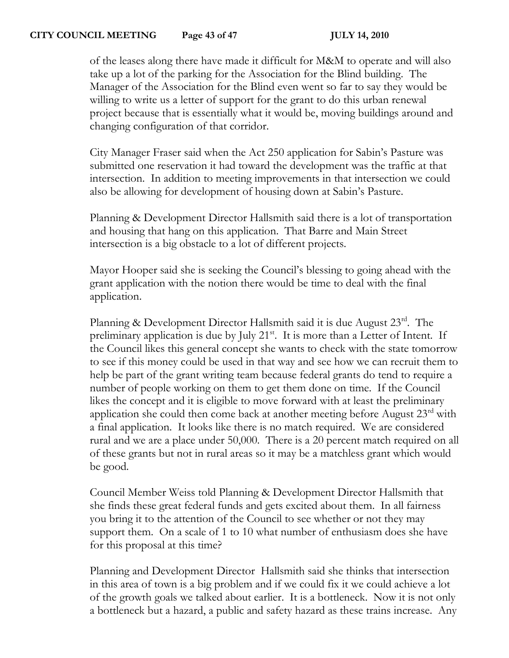## **CITY COUNCIL MEETING Page 43 of 47 JULY 14, 2010**

of the leases along there have made it difficult for M&M to operate and will also take up a lot of the parking for the Association for the Blind building. The Manager of the Association for the Blind even went so far to say they would be willing to write us a letter of support for the grant to do this urban renewal project because that is essentially what it would be, moving buildings around and changing configuration of that corridor.

City Manager Fraser said when the Act 250 application for Sabin's Pasture was submitted one reservation it had toward the development was the traffic at that intersection. In addition to meeting improvements in that intersection we could also be allowing for development of housing down at Sabin's Pasture.

Planning & Development Director Hallsmith said there is a lot of transportation and housing that hang on this application. That Barre and Main Street intersection is a big obstacle to a lot of different projects.

Mayor Hooper said she is seeking the Council's blessing to going ahead with the grant application with the notion there would be time to deal with the final application.

Planning & Development Director Hallsmith said it is due August 23rd. The preliminary application is due by July  $21^{st}$ . It is more than a Letter of Intent. If the Council likes this general concept she wants to check with the state tomorrow to see if this money could be used in that way and see how we can recruit them to help be part of the grant writing team because federal grants do tend to require a number of people working on them to get them done on time. If the Council likes the concept and it is eligible to move forward with at least the preliminary application she could then come back at another meeting before August 23<sup>rd</sup> with a final application. It looks like there is no match required. We are considered rural and we are a place under 50,000. There is a 20 percent match required on all of these grants but not in rural areas so it may be a matchless grant which would be good.

Council Member Weiss told Planning & Development Director Hallsmith that she finds these great federal funds and gets excited about them. In all fairness you bring it to the attention of the Council to see whether or not they may support them. On a scale of 1 to 10 what number of enthusiasm does she have for this proposal at this time?

Planning and Development Director Hallsmith said she thinks that intersection in this area of town is a big problem and if we could fix it we could achieve a lot of the growth goals we talked about earlier. It is a bottleneck. Now it is not only a bottleneck but a hazard, a public and safety hazard as these trains increase. Any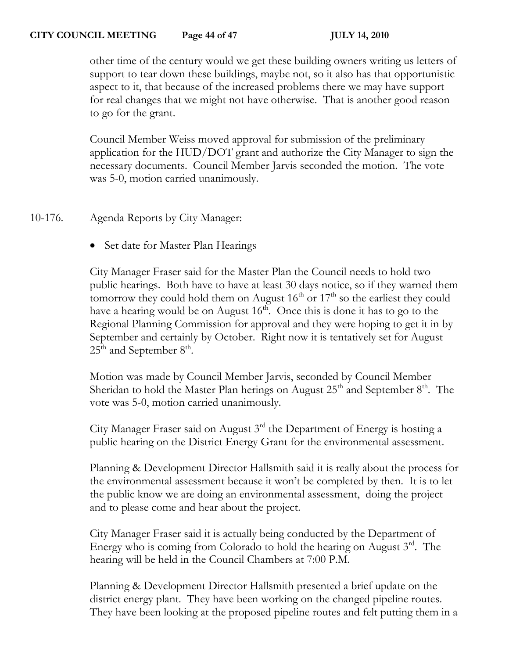other time of the century would we get these building owners writing us letters of support to tear down these buildings, maybe not, so it also has that opportunistic aspect to it, that because of the increased problems there we may have support for real changes that we might not have otherwise. That is another good reason to go for the grant.

Council Member Weiss moved approval for submission of the preliminary application for the HUD/DOT grant and authorize the City Manager to sign the necessary documents. Council Member Jarvis seconded the motion. The vote was 5-0, motion carried unanimously.

10-176. Agenda Reports by City Manager:

• Set date for Master Plan Hearings

City Manager Fraser said for the Master Plan the Council needs to hold two public hearings. Both have to have at least 30 days notice, so if they warned them tomorrow they could hold them on August  $16<sup>th</sup>$  or  $17<sup>th</sup>$  so the earliest they could have a hearing would be on August  $16<sup>th</sup>$ . Once this is done it has to go to the Regional Planning Commission for approval and they were hoping to get it in by September and certainly by October. Right now it is tentatively set for August  $25<sup>th</sup>$  and September 8<sup>th</sup>.

Motion was made by Council Member Jarvis, seconded by Council Member Sheridan to hold the Master Plan herings on August  $25<sup>th</sup>$  and September  $8<sup>th</sup>$ . The vote was 5-0, motion carried unanimously.

City Manager Fraser said on August  $3<sup>rd</sup>$  the Department of Energy is hosting a public hearing on the District Energy Grant for the environmental assessment.

Planning & Development Director Hallsmith said it is really about the process for the environmental assessment because it won't be completed by then. It is to let the public know we are doing an environmental assessment, doing the project and to please come and hear about the project.

City Manager Fraser said it is actually being conducted by the Department of Energy who is coming from Colorado to hold the hearing on August 3rd. The hearing will be held in the Council Chambers at 7:00 P.M.

Planning & Development Director Hallsmith presented a brief update on the district energy plant. They have been working on the changed pipeline routes. They have been looking at the proposed pipeline routes and felt putting them in a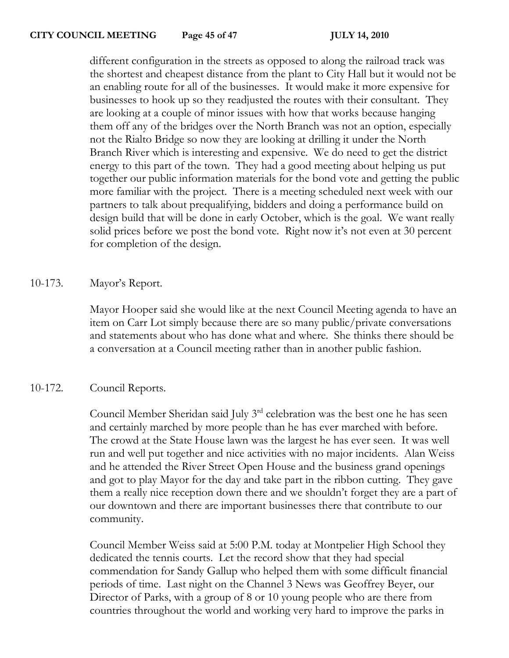different configuration in the streets as opposed to along the railroad track was the shortest and cheapest distance from the plant to City Hall but it would not be an enabling route for all of the businesses. It would make it more expensive for businesses to hook up so they readjusted the routes with their consultant. They are looking at a couple of minor issues with how that works because hanging them off any of the bridges over the North Branch was not an option, especially not the Rialto Bridge so now they are looking at drilling it under the North Branch River which is interesting and expensive. We do need to get the district energy to this part of the town. They had a good meeting about helping us put together our public information materials for the bond vote and getting the public more familiar with the project. There is a meeting scheduled next week with our partners to talk about prequalifying, bidders and doing a performance build on design build that will be done in early October, which is the goal. We want really solid prices before we post the bond vote. Right now it's not even at 30 percent for completion of the design.

# 10-173. Mayor's Report.

Mayor Hooper said she would like at the next Council Meeting agenda to have an item on Carr Lot simply because there are so many public/private conversations and statements about who has done what and where. She thinks there should be a conversation at a Council meeting rather than in another public fashion.

# 10-172. Council Reports.

Council Member Sheridan said July 3<sup>rd</sup> celebration was the best one he has seen and certainly marched by more people than he has ever marched with before. The crowd at the State House lawn was the largest he has ever seen. It was well run and well put together and nice activities with no major incidents. Alan Weiss and he attended the River Street Open House and the business grand openings and got to play Mayor for the day and take part in the ribbon cutting. They gave them a really nice reception down there and we shouldn't forget they are a part of our downtown and there are important businesses there that contribute to our community.

Council Member Weiss said at 5:00 P.M. today at Montpelier High School they dedicated the tennis courts. Let the record show that they had special commendation for Sandy Gallup who helped them with some difficult financial periods of time. Last night on the Channel 3 News was Geoffrey Beyer, our Director of Parks, with a group of 8 or 10 young people who are there from countries throughout the world and working very hard to improve the parks in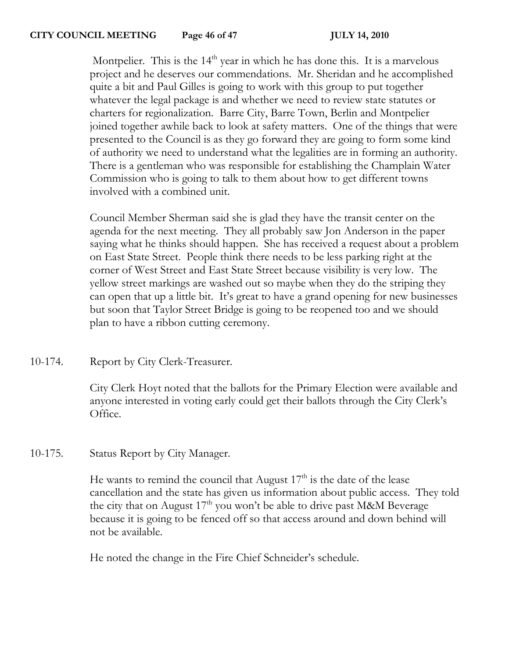Montpelier. This is the  $14<sup>th</sup>$  year in which he has done this. It is a marvelous project and he deserves our commendations. Mr. Sheridan and he accomplished quite a bit and Paul Gilles is going to work with this group to put together whatever the legal package is and whether we need to review state statutes or charters for regionalization. Barre City, Barre Town, Berlin and Montpelier joined together awhile back to look at safety matters. One of the things that were presented to the Council is as they go forward they are going to form some kind of authority we need to understand what the legalities are in forming an authority. There is a gentleman who was responsible for establishing the Champlain Water Commission who is going to talk to them about how to get different towns involved with a combined unit.

Council Member Sherman said she is glad they have the transit center on the agenda for the next meeting. They all probably saw Jon Anderson in the paper saying what he thinks should happen. She has received a request about a problem on East State Street. People think there needs to be less parking right at the corner of West Street and East State Street because visibility is very low. The yellow street markings are washed out so maybe when they do the striping they can open that up a little bit. It's great to have a grand opening for new businesses but soon that Taylor Street Bridge is going to be reopened too and we should plan to have a ribbon cutting ceremony.

10-174. Report by City Clerk-Treasurer.

City Clerk Hoyt noted that the ballots for the Primary Election were available and anyone interested in voting early could get their ballots through the City Clerk's Office.

10-175. Status Report by City Manager.

He wants to remind the council that August  $17<sup>th</sup>$  is the date of the lease cancellation and the state has given us information about public access. They told the city that on August  $17<sup>th</sup>$  you won't be able to drive past M&M Beverage because it is going to be fenced off so that access around and down behind will not be available.

He noted the change in the Fire Chief Schneider's schedule.